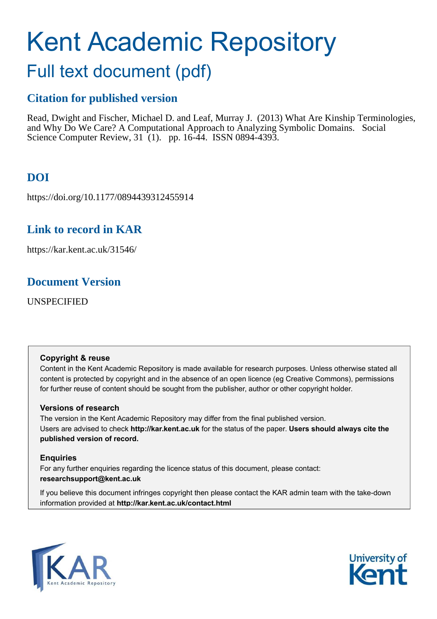# Kent Academic Repository

## Full text document (pdf)

## **Citation for published version**

Read, Dwight and Fischer, Michael D. and Leaf, Murray J. (2013) What Are Kinship Terminologies, and Why Do We Care? A Computational Approach to Analyzing Symbolic Domains. Social Science Computer Review, 31 (1). pp. 16-44. ISSN 0894-4393.

## **DOI**

https://doi.org/10.1177/0894439312455914

## **Link to record in KAR**

https://kar.kent.ac.uk/31546/

## **Document Version**

UNSPECIFIED

#### **Copyright & reuse**

Content in the Kent Academic Repository is made available for research purposes. Unless otherwise stated all content is protected by copyright and in the absence of an open licence (eg Creative Commons), permissions for further reuse of content should be sought from the publisher, author or other copyright holder.

#### **Versions of research**

The version in the Kent Academic Repository may differ from the final published version. Users are advised to check **http://kar.kent.ac.uk** for the status of the paper. **Users should always cite the published version of record.**

#### **Enquiries**

For any further enquiries regarding the licence status of this document, please contact: **researchsupport@kent.ac.uk**

If you believe this document infringes copyright then please contact the KAR admin team with the take-down information provided at **http://kar.kent.ac.uk/contact.html**



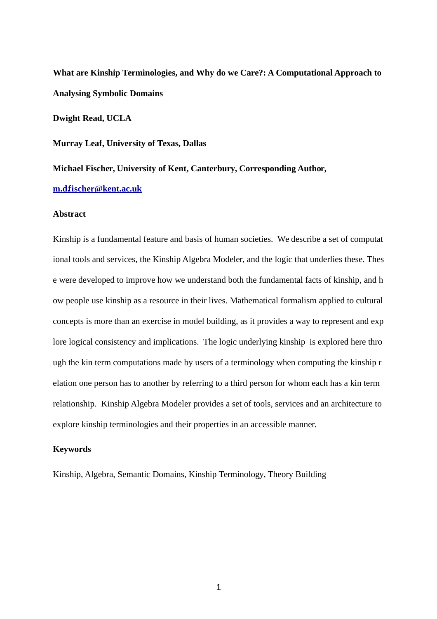**What are Kinship Terminologies, and Why do we Care?: A Computational Approach to Analysing Symbolic Domains**

**Dwight Read, UCLA**

**Murray Leaf, University of Texas, Dallas**

**Michael Fischer, University of Kent, Canterbury, Corresponding Author, [m.d.fischer@kent.ac.uk](mailto:m.d.fischer@kent.ac.uk)**

#### **Abstract**

Kinship is a fundamental feature and basis of human societies. We describe a set of computat ional tools and services, the Kinship Algebra Modeler, and the logic that underlies these. Thes e were developed to improve how we understand both the fundamental facts of kinship, and h ow people use kinship as a resource in their lives. Mathematical formalism applied to cultural concepts is more than an exercise in model building, as it provides a way to represent and exp lore logical consistency and implications. The logic underlying kinship is explored here thro ugh the kin term computations made by users of a terminology when computing the kinship r elation one person has to another by referring to a third person for whom each has a kin term relationship. Kinship Algebra Modeler provides a set of tools, services and an architecture to explore kinship terminologies and their properties in an accessible manner.

#### **Keywords**

Kinship, Algebra, Semantic Domains, Kinship Terminology, Theory Building

1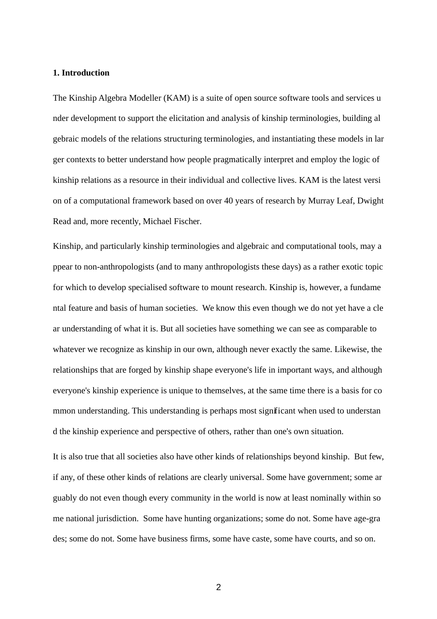#### **1. Introduction**

The Kinship Algebra Modeller (KAM) is a suite of open source software tools and services u nder development to support the elicitation and analysis of kinship terminologies, building al gebraic models of the relations structuring terminologies, and instantiating these models in lar ger contexts to better understand how people pragmatically interpret and employ the logic of kinship relations as a resource in their individual and collective lives. KAM is the latest versi on of a computational framework based on over 40 years of research by Murray Leaf, Dwight Read and, more recently, Michael Fischer.

Kinship, and particularly kinship terminologies and algebraic and computational tools, may a ppear to non-anthropologists (and to many anthropologists these days) as a rather exotic topic for which to develop specialised software to mount research. Kinship is, however, a fundame ntal feature and basis of human societies. We know this even though we do not yet have a cle ar understanding of what it is. But all societies have something we can see as comparable to whatever we recognize as kinship in our own, although never exactly the same. Likewise, the relationships that are forged by kinship shape everyone's life in important ways, and although everyone's kinship experience is unique to themselves, at the same time there is a basis for co mmon understanding. This understanding is perhaps most significant when used to understan d the kinship experience and perspective of others, rather than one's own situation.

It is also true that all societies also have other kinds of relationships beyond kinship. But few, if any, of these other kinds of relations are clearly universal. Some have government; some ar guably do not even though every community in the world is now at least nominally within so me national jurisdiction. Some have hunting organizations; some do not. Some have age-gra des; some do not. Some have business firms, some have caste, some have courts, and so on.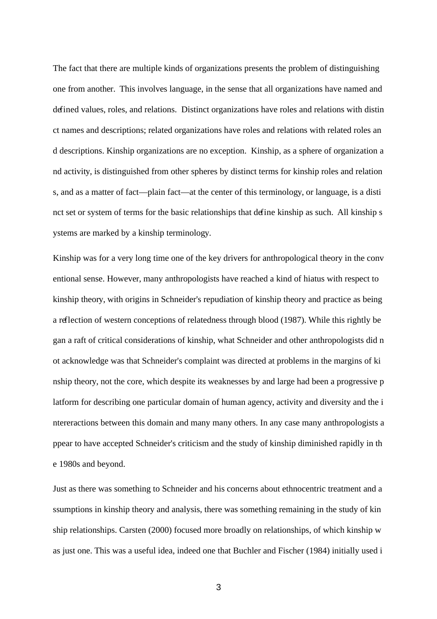The fact that there are multiple kinds of organizations presents the problem of distinguishing one from another. This involves language, in the sense that all organizations have named and defined values, roles, and relations. Distinct organizations have roles and relations with distin ct names and descriptions; related organizations have roles and relations with related roles an d descriptions. Kinship organizations are no exception. Kinship, as a sphere of organization a nd activity, is distinguished from other spheres by distinct terms for kinship roles and relation s, and as a matter of fact—plain fact—at the center of this terminology, or language, is a disti nct set or system of terms for the basic relationships that define kinship as such. All kinship s ystems are marked by a kinship terminology.

Kinship was for a very long time one of the key drivers for anthropological theory in the conv entional sense. However, many anthropologists have reached a kind of hiatus with respect to kinship theory, with origins in Schneider's repudiation of kinship theory and practice as being a reflection of western conceptions of relatedness through blood (1987). While this rightly be gan a raft of critical considerations of kinship, what Schneider and other anthropologists did n ot acknowledge was that Schneider's complaint was directed at problems in the margins of ki nship theory, not the core, which despite its weaknesses by and large had been a progressive p latform for describing one particular domain of human agency, activity and diversity and the i ntereractions between this domain and many many others. In any case many anthropologists a ppear to have accepted Schneider's criticism and the study of kinship diminished rapidly in th e 1980s and beyond.

Just as there was something to Schneider and his concerns about ethnocentric treatment and a ssumptions in kinship theory and analysis, there was something remaining in the study of kin ship relationships. Carsten (2000) focused more broadly on relationships, of which kinship w as just one. This was a useful idea, indeed one that Buchler and Fischer (1984) initially used i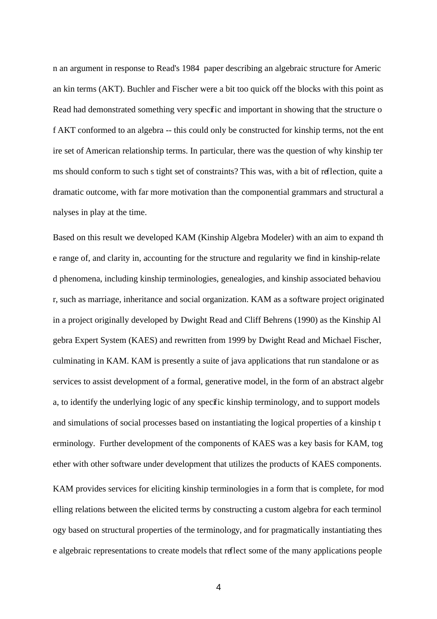n an argument in response to Read's 1984 paper describing an algebraic structure for Americ an kin terms (AKT). Buchler and Fischer were a bit too quick off the blocks with this point as Read had demonstrated something very specific and important in showing that the structure o f AKT conformed to an algebra -- this could only be constructed for kinship terms, not the ent ire set of American relationship terms. In particular, there was the question of why kinship ter ms should conform to such s tight set of constraints? This was, with a bit of reflection, quite a dramatic outcome, with far more motivation than the componential grammars and structural a nalyses in play at the time.

Based on this result we developed KAM (Kinship Algebra Modeler) with an aim to expand th e range of, and clarity in, accounting for the structure and regularity we find in kinship-relate d phenomena, including kinship terminologies, genealogies, and kinship associated behaviou r, such as marriage, inheritance and social organization. KAM as a software project originated in a project originally developed by Dwight Read and Cliff Behrens (1990) as the Kinship Al gebra Expert System (KAES) and rewritten from 1999 by Dwight Read and Michael Fischer, culminating in KAM. KAM is presently a suite of java applications that run standalone or as services to assist development of a formal, generative model, in the form of an abstract algebr a, to identify the underlying logic of any specific kinship terminology, and to support models and simulations of social processes based on instantiating the logical properties of a kinship t erminology. Further development of the components of KAES was a key basis for KAM, tog ether with other software under development that utilizes the products of KAES components.

KAM provides services for eliciting kinship terminologies in a form that is complete, for mod elling relations between the elicited terms by constructing a custom algebra for each terminol ogy based on structural properties of the terminology, and for pragmatically instantiating thes e algebraic representations to create models that reflect some of the many applications people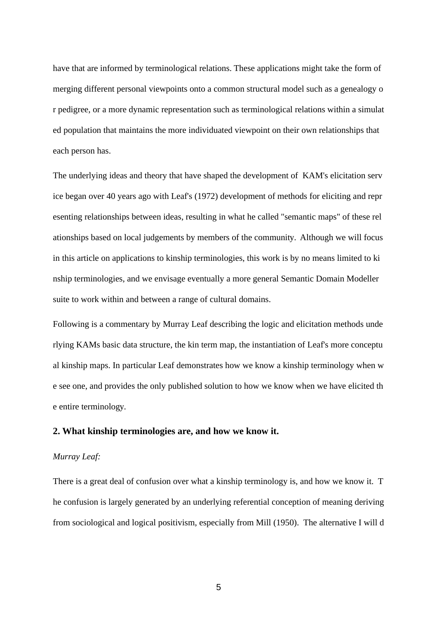have that are informed by terminological relations. These applications might take the form of merging different personal viewpoints onto a common structural model such as a genealogy o r pedigree, or a more dynamic representation such as terminological relations within a simulat ed population that maintains the more individuated viewpoint on their own relationships that each person has.

The underlying ideas and theory that have shaped the development of KAM's elicitation serv ice began over 40 years ago with Leaf's (1972) development of methods for eliciting and repr esenting relationships between ideas, resulting in what he called "semantic maps" of these rel ationships based on local judgements by members of the community. Although we will focus in this article on applications to kinship terminologies, this work is by no means limited to ki nship terminologies, and we envisage eventually a more general Semantic Domain Modeller suite to work within and between a range of cultural domains.

Following is a commentary by Murray Leaf describing the logic and elicitation methods unde rlying KAMs basic data structure, the kin term map, the instantiation of Leaf's more conceptu al kinship maps. In particular Leaf demonstrates how we know a kinship terminology when w e see one, and provides the only published solution to how we know when we have elicited th e entire terminology.

#### **2. What kinship terminologies are, and how we know it.**

#### *Murray Leaf:*

There is a great deal of confusion over what a kinship terminology is, and how we know it. T he confusion is largely generated by an underlying referential conception of meaning deriving from sociological and logical positivism, especially from Mill (1950). The alternative I will d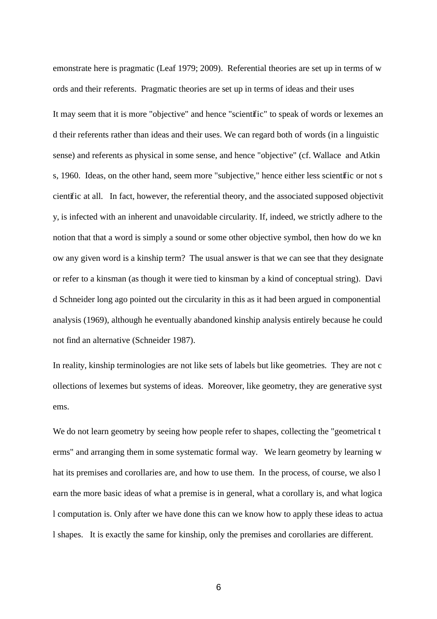emonstrate here is pragmatic (Leaf 1979; 2009). Referential theories are set up in terms of w ords and their referents. Pragmatic theories are set up in terms of ideas and their uses It may seem that it is more "objective" and hence "scientific" to speak of words or lexemes an d their referents rather than ideas and their uses. We can regard both of words (in a linguistic sense) and referents as physical in some sense, and hence "objective" (cf. Wallace and Atkin s, 1960. Ideas, on the other hand, seem more "subjective," hence either less scientific or not s cientific at all. In fact, however, the referential theory, and the associated supposed objectivit y, is infected with an inherent and unavoidable circularity. If, indeed, we strictly adhere to the notion that that a word is simply a sound or some other objective symbol, then how do we kn ow any given word is a kinship term? The usual answer is that we can see that they designate or refer to a kinsman (as though it were tied to kinsman by a kind of conceptual string). Davi d Schneider long ago pointed out the circularity in this as it had been argued in componential analysis (1969), although he eventually abandoned kinship analysis entirely because he could not find an alternative (Schneider 1987).

In reality, kinship terminologies are not like sets of labels but like geometries. They are not c ollections of lexemes but systems of ideas. Moreover, like geometry, they are generative syst ems.

We do not learn geometry by seeing how people refer to shapes, collecting the "geometrical t erms" and arranging them in some systematic formal way. We learn geometry by learning w hat its premises and corollaries are, and how to use them. In the process, of course, we also l earn the more basic ideas of what a premise is in general, what a corollary is, and what logica l computation is. Only after we have done this can we know how to apply these ideas to actua l shapes. It is exactly the same for kinship, only the premises and corollaries are different.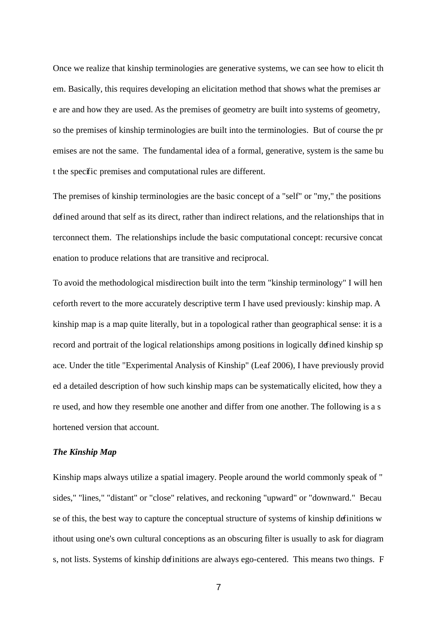Once we realize that kinship terminologies are generative systems, we can see how to elicit th em. Basically, this requires developing an elicitation method that shows what the premises ar e are and how they are used. As the premises of geometry are built into systems of geometry, so the premises of kinship terminologies are built into the terminologies. But of course the pr emises are not the same. The fundamental idea of a formal, generative, system is the same bu t the specific premises and computational rules are different.

The premises of kinship terminologies are the basic concept of a "self" or "my," the positions defined around that self as its direct, rather than indirect relations, and the relationships that in terconnect them. The relationships include the basic computational concept: recursive concat enation to produce relations that are transitive and reciprocal.

To avoid the methodological misdirection built into the term "kinship terminology" I will hen ceforth revert to the more accurately descriptive term I have used previously: kinship map. A kinship map is a map quite literally, but in a topological rather than geographical sense: it is a record and portrait of the logical relationships among positions in logically defined kinship sp ace. Under the title "Experimental Analysis of Kinship" (Leaf 2006), I have previously provid ed a detailed description of how such kinship maps can be systematically elicited, how they a re used, and how they resemble one another and differ from one another. The following is a s hortened version that account.

#### *The Kinship Map*

Kinship maps always utilize a spatial imagery. People around the world commonly speak of " sides," "lines," "distant" or "close" relatives, and reckoning "upward" or "downward." Becau se of this, the best way to capture the conceptual structure of systems of kinship definitions w ithout using one's own cultural conceptions as an obscuring filter is usually to ask for diagram s, not lists. Systems of kinship definitions are always ego-centered. This means two things. F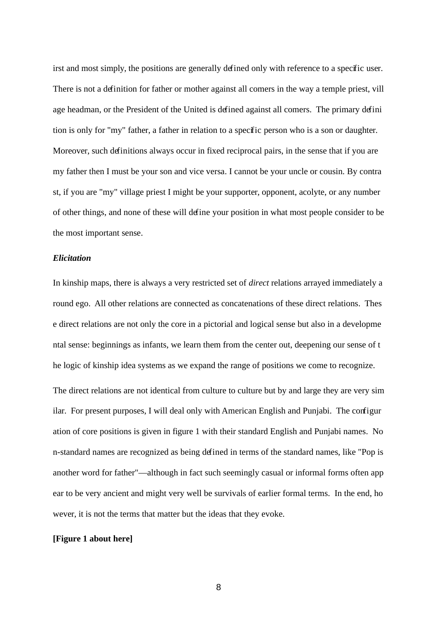irst and most simply, the positions are generally defined only with reference to a specific user. There is not a definition for father or mother against all comers in the way a temple priest, vill age headman, or the President of the United is defined against all comers. The primary defini tion is only for "my" father, a father in relation to a specific person who is a son or daughter. Moreover, such definitions always occur in fixed reciprocal pairs, in the sense that if you are my father then I must be your son and vice versa. I cannot be your uncle or cousin. By contra st, if you are "my" village priest I might be your supporter, opponent, acolyte, or any number of other things, and none of these will define your position in what most people consider to be the most important sense.

#### *Elicitation*

In kinship maps, there is always a very restricted set of *direct* relations arrayed immediately a round ego. All other relations are connected as concatenations of these direct relations. Thes e direct relations are not only the core in a pictorial and logical sense but also in a developme ntal sense: beginnings as infants, we learn them from the center out, deepening our sense of t he logic of kinship idea systems as we expand the range of positions we come to recognize.

The direct relations are not identical from culture to culture but by and large they are very sim ilar. For present purposes, I will deal only with American English and Punjabi. The configur ation of core positions is given in figure 1 with their standard English and Punjabi names. No n-standard names are recognized as being defined in terms of the standard names, like "Pop is another word for father"—although in fact such seemingly casual or informal forms often app ear to be very ancient and might very well be survivals of earlier formal terms. In the end, ho wever, it is not the terms that matter but the ideas that they evoke.

#### **[Figure 1 about here]**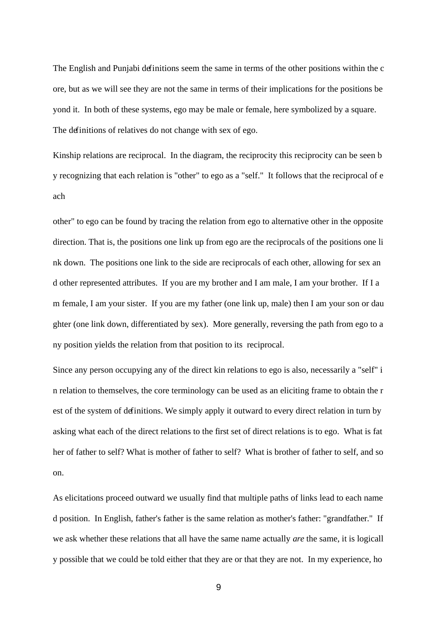The English and Punjabi definitions seem the same in terms of the other positions within the c ore, but as we will see they are not the same in terms of their implications for the positions be yond it. In both of these systems, ego may be male or female, here symbolized by a square. The definitions of relatives do not change with sex of ego.

Kinship relations are reciprocal. In the diagram, the reciprocity this reciprocity can be seen b y recognizing that each relation is "other" to ego as a "self." It follows that the reciprocal of e ach

other" to ego can be found by tracing the relation from ego to alternative other in the opposite direction. That is, the positions one link up from ego are the reciprocals of the positions one li nk down. The positions one link to the side are reciprocals of each other, allowing for sex an d other represented attributes. If you are my brother and I am male, I am your brother. If I a m female, I am your sister. If you are my father (one link up, male) then I am your son or dau ghter (one link down, differentiated by sex). More generally, reversing the path from ego to a ny position yields the relation from that position to its reciprocal.

Since any person occupying any of the direct kin relations to ego is also, necessarily a "self" i n relation to themselves, the core terminology can be used as an eliciting frame to obtain the r est of the system of definitions. We simply apply it outward to every direct relation in turn by asking what each of the direct relations to the first set of direct relations is to ego. What is fat her of father to self? What is mother of father to self? What is brother of father to self, and so on.

As elicitations proceed outward we usually find that multiple paths of links lead to each name d position. In English, father's father is the same relation as mother's father: "grandfather." If we ask whether these relations that all have the same name actually *are* the same, it is logicall y possible that we could be told either that they are or that they are not. In my experience, ho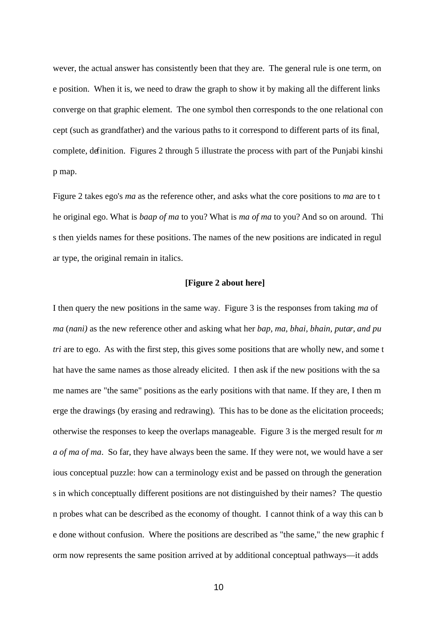wever, the actual answer has consistently been that they are. The general rule is one term, on e position. When it is, we need to draw the graph to show it by making all the different links converge on that graphic element. The one symbol then corresponds to the one relational con cept (such as grandfather) and the various paths to it correspond to different parts of its final, complete, definition. Figures 2 through 5 illustrate the process with part of the Punjabi kinshi p map.

Figure 2 takes ego's *ma* as the reference other, and asks what the core positions to *ma* are to t he original ego. What is *baap of ma* to you? What is *ma of ma* to you? And so on around.Thi s then yields names for these positions. The names of the new positions are indicated in regul ar type, the original remain in italics.

#### **[Figure 2 about here]**

I then query the new positions in the same way. Figure 3 is the responses from taking *ma* of *ma* (*nani)* as the new reference other and asking what her *bap, ma, bhai, bhain, putar, and pu tri* are to ego. As with the first step, this gives some positions that are wholly new, and some t hat have the same names as those already elicited. I then ask if the new positions with the sa me names are "the same" positions as the early positions with that name. If they are, I then m erge the drawings (by erasing and redrawing). This has to be done as the elicitation proceeds; otherwise the responses to keep the overlaps manageable. Figure 3 is the merged result for *m a of ma of ma*. So far, they have always been the same. If they were not, we would have a ser ious conceptual puzzle: how can a terminology exist and be passed on through the generation s in which conceptually different positions are not distinguished by their names? The questio n probes what can be described as the economy of thought. I cannot think of a way this can b e done without confusion. Where the positions are described as "the same," the new graphic f orm now represents the same position arrived at by additional conceptual pathways—it adds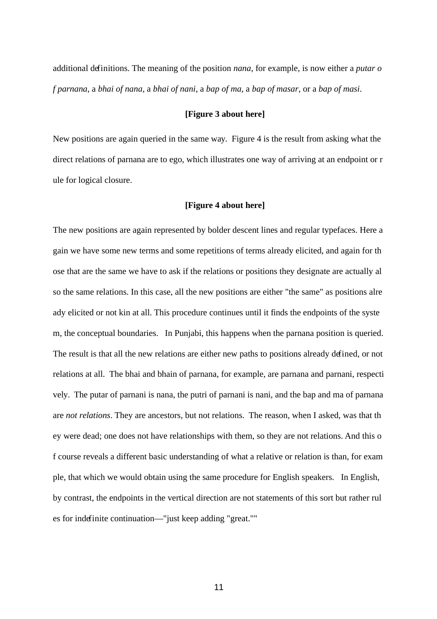additional definitions. The meaning of the position *nana*, for example, is now either a *putar o f parnana*, a *bhai of nana*, a *bhai of nani*, a *bap of ma*, a *bap of masar*, or a *bap of masi*.

#### **[Figure 3 about here]**

New positions are again queried in the same way. Figure 4 is the result from asking what the direct relations of parnana are to ego, which illustrates one way of arriving at an endpoint or r ule for logical closure.

#### **[Figure 4 about here]**

The new positions are again represented by bolder descent lines and regular typefaces. Here a gain we have some new terms and some repetitions of terms already elicited, and again for th ose that are the same we have to ask if the relations or positions they designate are actually al so the same relations. In this case, all the new positions are either "the same" as positions alre ady elicited or not kin at all. This procedure continues until it finds the endpoints of the syste m, the conceptual boundaries. In Punjabi, this happens when the parnana position is queried. The result is that all the new relations are either new paths to positions already defined, or not relations at all. The bhai and bhain of parnana, for example, are parnana and parnani, respecti vely. The putar of parnani is nana, the putri of parnani is nani, and the bap and ma of parnana are *not relations*. They are ancestors, but not relations. The reason, when I asked, was that th ey were dead; one does not have relationships with them, so they are not relations. And this o f course reveals a different basic understanding of what a relative or relation is than, for exam ple, that which we would obtain using the same procedure for English speakers. In English, by contrast, the endpoints in the vertical direction are not statements of this sort but rather rul es for indefinite continuation—"just keep adding "great.""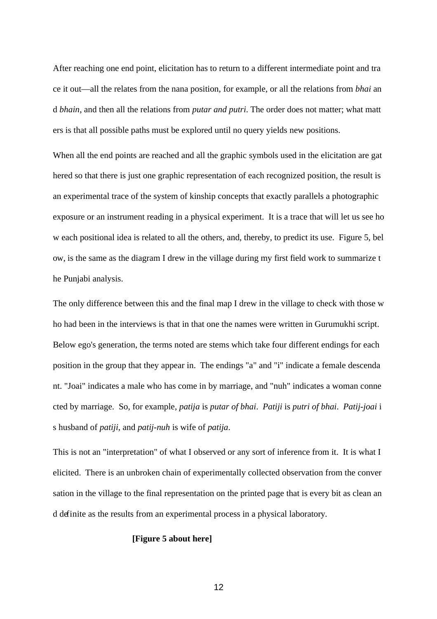After reaching one end point, elicitation has to return to a different intermediate point and tra ce it out—all the relates from the nana position, for example, or all the relations from *bhai* an d *bhain*, and then all the relations from *putar and putri*. The order does not matter; what matt ers is that all possible paths must be explored until no query yields new positions.

When all the end points are reached and all the graphic symbols used in the elicitation are gat hered so that there is just one graphic representation of each recognized position, the result is an experimental trace of the system of kinship concepts that exactly parallels a photographic exposure or an instrument reading in a physical experiment. It is a trace that will let us see ho w each positional idea is related to all the others, and, thereby, to predict its use. Figure 5, bel ow, is the same as the diagram I drew in the village during my first field work to summarize t he Punjabi analysis.

The only difference between this and the final map I drew in the village to check with those w ho had been in the interviews is that in that one the names were written in Gurumukhi script. Below ego's generation, the terms noted are stems which take four different endings for each position in the group that they appear in. The endings "a" and "i" indicate a female descenda nt. "Joai" indicates a male who has come in by marriage, and "nuh" indicates a woman conne cted by marriage. So, for example, *patija* is *putar of bhai*. *Patiji* is *putri of bhai*. *Patij-joai* i s husband of *patiji*, and *patij-nuh* is wife of *patija*.

This is not an "interpretation" of what I observed or any sort of inference from it. It is what I elicited. There is an unbroken chain of experimentally collected observation from the conver sation in the village to the final representation on the printed page that is every bit as clean an d definite as the results from an experimental process in a physical laboratory.

#### **[Figure 5 about here]**

12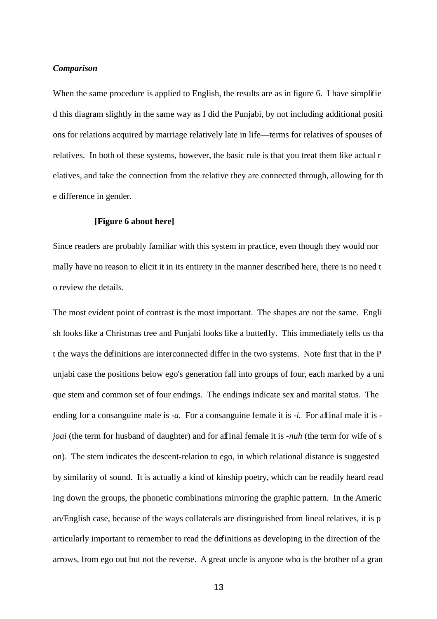#### *Comparison*

When the same procedure is applied to English, the results are as in figure 6. I have simplifie d this diagram slightly in the same way as I did the Punjabi, by not including additional positi ons for relations acquired by marriage relatively late in life—terms for relatives of spouses of relatives. In both of these systems, however, the basic rule is that you treat them like actual r elatives, and take the connection from the relative they are connected through, allowing for th e difference in gender.

#### **[Figure 6 about here]**

Since readers are probably familiar with this system in practice, even though they would nor mally have no reason to elicit it in its entirety in the manner described here, there is no need t o review the details.

The most evident point of contrast is the most important. The shapes are not the same. Engli sh looks like a Christmas tree and Punjabi looks like a butterfly. This immediately tells us tha t the ways the definitions are interconnected differ in the two systems. Note first that in the P unjabi case the positions below ego's generation fall into groups of four, each marked by a uni que stem and common set of four endings. The endings indicate sex and marital status. The ending for a consanguine male is *-a*. For a consanguine female it is *-i*. For affinal male it is *joai* (the term for husband of daughter) and for affinal female it is -*nuh* (the term for wife of s on). The stem indicates the descent-relation to ego, in which relational distance is suggested by similarity of sound. It is actually a kind of kinship poetry, which can be readily heard read ing down the groups, the phonetic combinations mirroring the graphic pattern. In the Americ an/English case, because of the ways collaterals are distinguished from lineal relatives, it is p articularly important to remember to read the definitions as developing in the direction of the arrows, from ego out but not the reverse. A great uncle is anyone who is the brother of a gran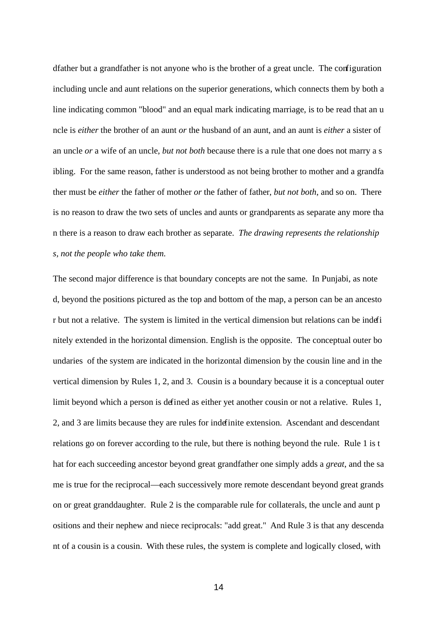dfather but a grandfather is not anyone who is the brother of a great uncle. The configuration including uncle and aunt relations on the superior generations, which connects them by both a line indicating common "blood" and an equal mark indicating marriage, is to be read that an u ncle is *either* the brother of an aunt *or* the husband of an aunt, and an aunt is *either* a sister of an uncle *or* a wife of an uncle, *but not both* because there is a rule that one does not marry a s ibling. For the same reason, father is understood as not being brother to mother and a grandfa ther must be *either* the father of mother *or* the father of father, *but not both*, and so on. There is no reason to draw the two sets of uncles and aunts or grandparents as separate any more tha n there is a reason to draw each brother as separate. *The drawing represents the relationship s, not the people who take them.*

The second major difference is that boundary concepts are not the same. In Punjabi, as note d, beyond the positions pictured as the top and bottom of the map, a person can be an ancesto r but not a relative. The system is limited in the vertical dimension but relations can be indefi nitely extended in the horizontal dimension. English is the opposite. The conceptual outer bo undaries of the system are indicated in the horizontal dimension by the cousin line and in the vertical dimension by Rules 1, 2, and 3. Cousin is a boundary because it is a conceptual outer limit beyond which a person is defined as either yet another cousin or not a relative. Rules 1, 2, and 3 are limits because they are rules for indefinite extension. Ascendant and descendant relations go on forever according to the rule, but there is nothing beyond the rule. Rule 1 is t hat for each succeeding ancestor beyond great grandfather one simply adds a *great*, and the sa me is true for the reciprocal—each successively more remote descendant beyond great grands on or great granddaughter. Rule 2 is the comparable rule for collaterals, the uncle and aunt p ositions and their nephew and niece reciprocals: "add great." And Rule 3 is that any descenda nt of a cousin is a cousin. With these rules, the system is complete and logically closed, with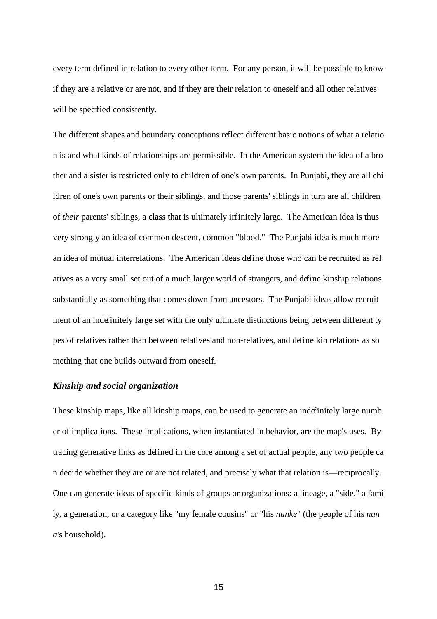every term defined in relation to every other term. For any person, it will be possible to know if they are a relative or are not, and if they are their relation to oneself and all other relatives will be specified consistently.

The different shapes and boundary conceptions reflect different basic notions of what a relatio n is and what kinds of relationships are permissible. In the American system the idea of a bro ther and a sister is restricted only to children of one's own parents. In Punjabi, they are all chi ldren of one's own parents or their siblings, and those parents' siblings in turn are all children of *their* parents' siblings, a class that is ultimately infinitely large. The American idea is thus very strongly an idea of common descent, common "blood." The Punjabi idea is much more an idea of mutual interrelations. The American ideas define those who can be recruited as rel atives as a very small set out of a much larger world of strangers, and define kinship relations substantially as something that comes down from ancestors. The Punjabi ideas allow recruit ment of an indefinitely large set with the only ultimate distinctions being between different ty pes of relatives rather than between relatives and non-relatives, and define kin relations as so mething that one builds outward from oneself.

#### *Kinship and social organization*

These kinship maps, like all kinship maps, can be used to generate an indefinitely large numb er of implications. These implications, when instantiated in behavior, are the map's uses. By tracing generative links as defined in the core among a set of actual people, any two people ca n decide whether they are or are not related, and precisely what that relation is—reciprocally. One can generate ideas of specific kinds of groups or organizations: a lineage, a "side," a fami ly, a generation, or a category like "my female cousins" or "his *nanke*" (the people of his *nan a*'s household).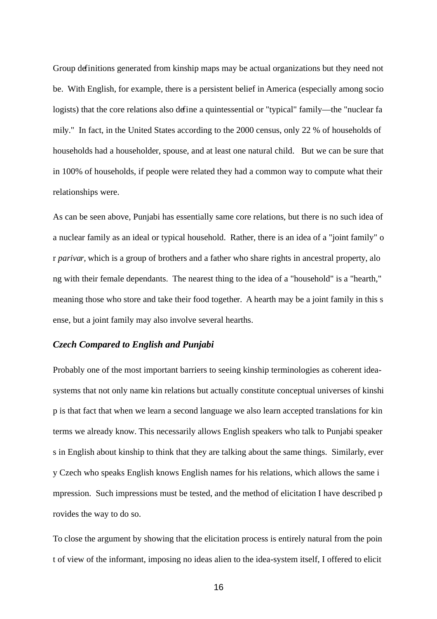Group definitions generated from kinship maps may be actual organizations but they need not be. With English, for example, there is a persistent belief in America (especially among socio logists) that the core relations also define a quintessential or "typical" family—the "nuclear fa mily." In fact, in the United States according to the 2000 census, only 22 % of households of households had a householder, spouse, and at least one natural child. But we can be sure that in 100% of households, if people were related they had a common way to compute what their relationships were.

As can be seen above, Punjabi has essentially same core relations, but there is no such idea of a nuclear family as an ideal or typical household. Rather, there is an idea of a "joint family" o r *parivar,* which is a group of brothers and a father who share rights in ancestral property, alo ng with their female dependants. The nearest thing to the idea of a "household" is a "hearth," meaning those who store and take their food together. A hearth may be a joint family in this s ense, but a joint family may also involve several hearths.

#### *Czech Compared to English and Punjabi*

Probably one of the most important barriers to seeing kinship terminologies as coherent ideasystems that not only name kin relations but actually constitute conceptual universes of kinshi p is that fact that when we learn a second language we also learn accepted translations for kin terms we already know. This necessarily allows English speakers who talk to Punjabi speaker s in English about kinship to think that they are talking about the same things. Similarly, ever y Czech who speaks English knows English names for his relations, which allows the same i mpression. Such impressions must be tested, and the method of elicitation I have described p rovides the way to do so.

To close the argument by showing that the elicitation process is entirely natural from the poin t of view of the informant, imposing no ideas alien to the idea-system itself, I offered to elicit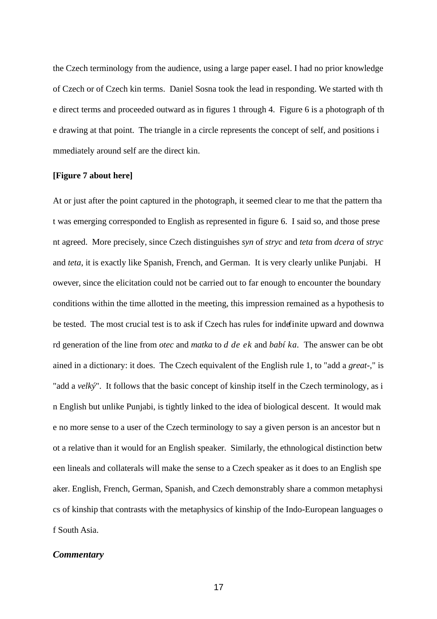the Czech terminology from the audience, using a large paper easel. I had no prior knowledge of Czech or of Czech kin terms. Daniel Sosna took the lead in responding. We started with th e direct terms and proceeded outward as in figures 1 through 4. Figure 6 is a photograph of th e drawing at that point. The triangle in a circle represents the concept of self, and positions i mmediately around self are the direct kin.

#### **[Figure 7 about here]**

At or just after the point captured in the photograph, it seemed clear to me that the pattern tha t was emerging corresponded to English as represented in figure 6. I said so, and those prese nt agreed. More precisely, since Czech distinguishes *syn* of *stryc* and *teta* from *dcera* of *stryc*  and *teta*, it is exactly like Spanish, French, and German. It is very clearly unlike Punjabi. H owever, since the elicitation could not be carried out to far enough to encounter the boundary conditions within the time allotted in the meeting, this impression remained as a hypothesis to be tested. The most crucial test is to ask if Czech has rules for indefinite upward and downwa rd generation of the line from *otec* and *matka* to *d de ek* and *babí ka.* The answer can be obt ained in a dictionary: it does. The Czech equivalent of the English rule 1, to "add a *great*-," is "add a *velký*". It follows that the basic concept of kinship itself in the Czech terminology, as i n English but unlike Punjabi, is tightly linked to the idea of biological descent. It would mak e no more sense to a user of the Czech terminology to say a given person is an ancestor but n ot a relative than it would for an English speaker. Similarly, the ethnological distinction betw een lineals and collaterals will make the sense to a Czech speaker as it does to an English spe aker. English, French, German, Spanish, and Czech demonstrably share a common metaphysi cs of kinship that contrasts with the metaphysics of kinship of the Indo-European languages o f South Asia.

#### *Commentary*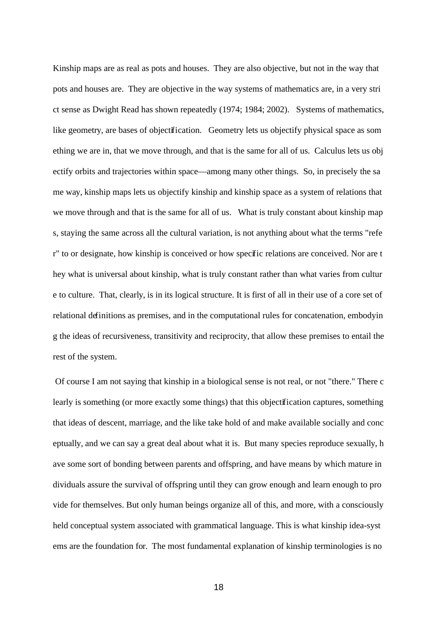Kinship maps are as real as pots and houses. They are also objective, but not in the way that pots and houses are. They are objective in the way systems of mathematics are, in a very stri ct sense as Dwight Read has shown repeatedly (1974; 1984; 2002). Systems of mathematics, like geometry, are bases of objectification. Geometry lets us objectify physical space as som ething we are in, that we move through, and that is the same for all of us. Calculus lets us obj ectify orbits and trajectories within space—among many other things. So, in precisely the sa me way, kinship maps lets us objectify kinship and kinship space as a system of relations that we move through and that is the same for all of us. What is truly constant about kinship map s, staying the same across all the cultural variation, is not anything about what the terms "refe r" to or designate, how kinship is conceived or how specific relations are conceived. Nor are t hey what is universal about kinship, what is truly constant rather than what varies from cultur e to culture. That, clearly, is in its logical structure. It is first of all in their use of a core set of relational definitions as premises, and in the computational rules for concatenation, embodyin g the ideas of recursiveness, transitivity and reciprocity, that allow these premises to entail the rest of the system.

 Of course I am not saying that kinship in a biological sense is not real, or not "there." There c learly is something (or more exactly some things) that this objectification captures, something that ideas of descent, marriage, and the like take hold of and make available socially and conc eptually, and we can say a great deal about what it is. But many species reproduce sexually, h ave some sort of bonding between parents and offspring, and have means by which mature in dividuals assure the survival of offspring until they can grow enough and learn enough to pro vide for themselves. But only human beings organize all of this, and more, with a consciously held conceptual system associated with grammatical language. This is what kinship idea-syst ems are the foundation for. The most fundamental explanation of kinship terminologies is no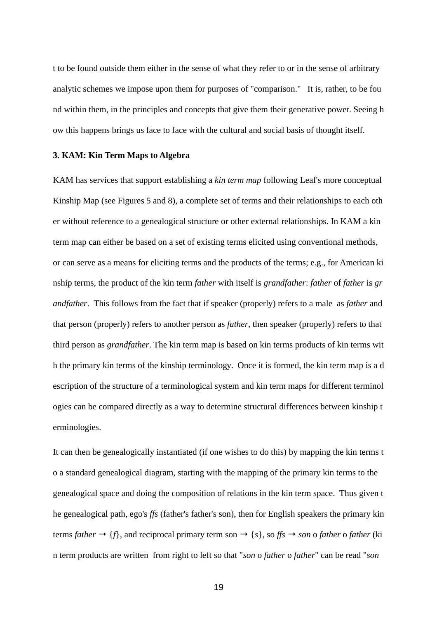t to be found outside them either in the sense of what they refer to or in the sense of arbitrary analytic schemes we impose upon them for purposes of "comparison." It is, rather, to be fou nd within them, in the principles and concepts that give them their generative power. Seeing h ow this happens brings us face to face with the cultural and social basis of thought itself.

#### **3. KAM: Kin Term Maps to Algebra**

KAM has services that support establishing a *kin term map* following Leaf's more conceptual Kinship Map (see Figures 5 and 8), a complete set of terms and their relationships to each oth er without reference to a genealogical structure or other external relationships. In KAM a kin term map can either be based on a set of existing terms elicited using conventional methods, or can serve as a means for eliciting terms and the products of the terms; e.g., for American ki nship terms, the product of the kin term *father* with itself is *grandfather*: *father* of *father* is *gr andfather*. This follows from the fact that if speaker (properly) refers to a male as *father* and that person (properly) refers to another person as *father*, then speaker (properly) refers to that third person as *grandfather*. The kin term map is based on kin terms products of kin terms wit h the primary kin terms of the kinship terminology. Once it is formed, the kin term map is a d escription of the structure of a terminological system and kin term maps for different terminol ogies can be compared directly as a way to determine structural differences between kinship t erminologies.

It can then be genealogically instantiated (if one wishes to do this) by mapping the kin terms t o a standard genealogical diagram, starting with the mapping of the primary kin terms to the genealogical space and doing the composition of relations in the kin term space. Thus given t he genealogical path, ego's *ffs* (father's father's son), then for English speakers the primary kin terms *father*  $\rightarrow$  {*f*}, and reciprocal primary term son  $\rightarrow$  {*s*}, so *ffs*  $\rightarrow$  *son* o *father* o *father* (ki n term products are written from right to left so that "*son* o *father* o *father*" can be read "*son*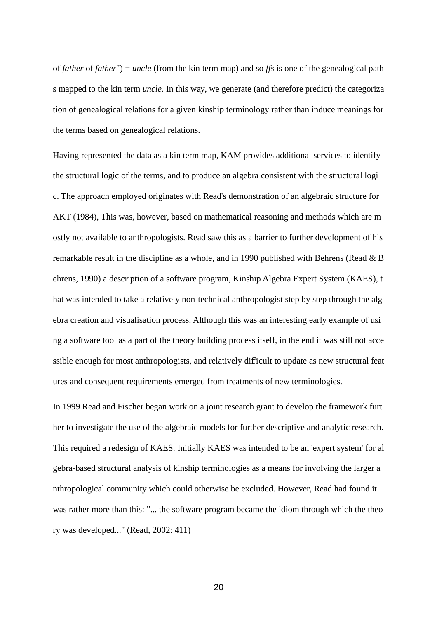of *father* of *father*") = *uncle* (from the kin term map) and so *ffs* is one of the genealogical path s mapped to the kin term *uncle*. In this way, we generate (and therefore predict) the categoriza tion of genealogical relations for a given kinship terminology rather than induce meanings for the terms based on genealogical relations.

Having represented the data as a kin term map, KAM provides additional services to identify the structural logic of the terms, and to produce an algebra consistent with the structural logi c. The approach employed originates with Read's demonstration of an algebraic structure for AKT (1984), This was, however, based on mathematical reasoning and methods which are m ostly not available to anthropologists. Read saw this as a barrier to further development of his remarkable result in the discipline as a whole, and in 1990 published with Behrens (Read & B ehrens, 1990) a description of a software program, Kinship Algebra Expert System (KAES), t hat was intended to take a relatively non-technical anthropologist step by step through the alg ebra creation and visualisation process. Although this was an interesting early example of usi ng a software tool as a part of the theory building process itself, in the end it was still not acce ssible enough for most anthropologists, and relatively difficult to update as new structural feat ures and consequent requirements emerged from treatments of new terminologies.

In 1999 Read and Fischer began work on a joint research grant to develop the framework furt her to investigate the use of the algebraic models for further descriptive and analytic research. This required a redesign of KAES. Initially KAES was intended to be an 'expert system' for al gebra-based structural analysis of kinship terminologies as a means for involving the larger a nthropological community which could otherwise be excluded. However, Read had found it was rather more than this: "... the software program became the idiom through which the theo ry was developed..." (Read, 2002: 411)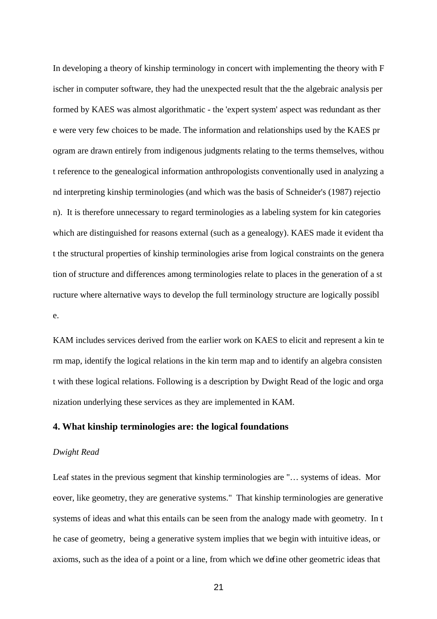In developing a theory of kinship terminology in concert with implementing the theory with F ischer in computer software, they had the unexpected result that the the algebraic analysis per formed by KAES was almost algorithmatic - the 'expert system' aspect was redundant as ther e were very few choices to be made. The information and relationships used by the KAES pr ogram are drawn entirely from indigenous judgments relating to the terms themselves, withou t reference to the genealogical information anthropologists conventionally used in analyzing a nd interpreting kinship terminologies (and which was the basis of Schneider's (1987) rejectio n). It is therefore unnecessary to regard terminologies as a labeling system for kin categories which are distinguished for reasons external (such as a genealogy). KAES made it evident tha t the structural properties of kinship terminologies arise from logical constraints on the genera tion of structure and differences among terminologies relate to places in the generation of a st ructure where alternative ways to develop the full terminology structure are logically possibl e.

KAM includes services derived from the earlier work on KAES to elicit and represent a kin te rm map, identify the logical relations in the kin term map and to identify an algebra consisten t with these logical relations. Following is a description by Dwight Read of the logic and orga nization underlying these services as they are implemented in KAM.

#### **4. What kinship terminologies are: the logical foundations**

#### *Dwight Read*

Leaf states in the previous segment that kinship terminologies are "… systems of ideas. Mor eover, like geometry, they are generative systems." That kinship terminologies are generative systems of ideas and what this entails can be seen from the analogy made with geometry. In t he case of geometry, being a generative system implies that we begin with intuitive ideas, or axioms, such as the idea of a point or a line, from which we define other geometric ideas that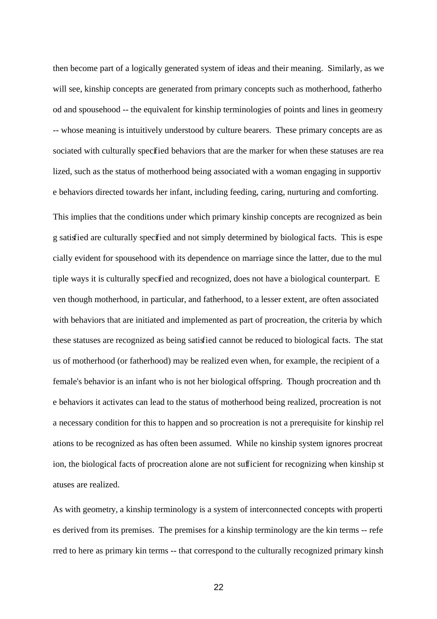then become part of a logically generated system of ideas and their meaning. Similarly, as we will see, kinship concepts are generated from primary concepts such as motherhood, fatherho od and spousehood -- the equivalent for kinship terminologies of points and lines in geometry -- whose meaning is intuitively understood by culture bearers. These primary concepts are as sociated with culturally specified behaviors that are the marker for when these statuses are rea lized, such as the status of motherhood being associated with a woman engaging in supportiv e behaviors directed towards her infant, including feeding, caring, nurturing and comforting.

This implies that the conditions under which primary kinship concepts are recognized as bein g satisfied are culturally specified and not simply determined by biological facts. This is espe cially evident for spousehood with its dependence on marriage since the latter, due to the mul tiple ways it is culturally specified and recognized, does not have a biological counterpart. E ven though motherhood, in particular, and fatherhood, to a lesser extent, are often associated with behaviors that are initiated and implemented as part of procreation, the criteria by which these statuses are recognized as being satisfied cannot be reduced to biological facts. The stat us of motherhood (or fatherhood) may be realized even when, for example, the recipient of a female's behavior is an infant who is not her biological offspring. Though procreation and th e behaviors it activates can lead to the status of motherhood being realized, procreation is not a necessary condition for this to happen and so procreation is not a prerequisite for kinship rel ations to be recognized as has often been assumed. While no kinship system ignores procreat ion, the biological facts of procreation alone are not sufficient for recognizing when kinship st atuses are realized.

As with geometry, a kinship terminology is a system of interconnected concepts with properti es derived from its premises. The premises for a kinship terminology are the kin terms -- refe rred to here as primary kin terms -- that correspond to the culturally recognized primary kinsh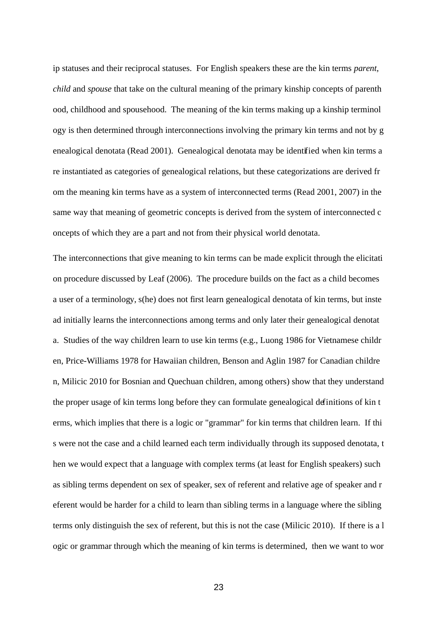ip statuses and their reciprocal statuses. For English speakers these are the kin terms *parent*, *child* and *spouse* that take on the cultural meaning of the primary kinship concepts of parenth ood, childhood and spousehood. The meaning of the kin terms making up a kinship terminol ogy is then determined through interconnections involving the primary kin terms and not by g enealogical denotata (Read 2001). Genealogical denotata may be identified when kin terms a re instantiated as categories of genealogical relations, but these categorizations are derived fr om the meaning kin terms have as a system of interconnected terms (Read 2001, 2007) in the same way that meaning of geometric concepts is derived from the system of interconnected c oncepts of which they are a part and not from their physical world denotata.

The interconnections that give meaning to kin terms can be made explicit through the elicitati on procedure discussed by Leaf (2006). The procedure builds on the fact as a child becomes a user of a terminology, s(he) does not first learn genealogical denotata of kin terms, but inste ad initially learns the interconnections among terms and only later their genealogical denotat a. Studies of the way children learn to use kin terms (e.g., Luong 1986 for Vietnamese childr en, Price-Williams 1978 for Hawaiian children, Benson and Aglin 1987 for Canadian childre n, Milicic 2010 for Bosnian and Quechuan children, among others) show that they understand the proper usage of kin terms long before they can formulate genealogical definitions of kin t erms, which implies that there is a logic or "grammar" for kin terms that children learn. If thi s were not the case and a child learned each term individually through its supposed denotata, t hen we would expect that a language with complex terms (at least for English speakers) such as sibling terms dependent on sex of speaker, sex of referent and relative age of speaker and r eferent would be harder for a child to learn than sibling terms in a language where the sibling terms only distinguish the sex of referent, but this is not the case (Milicic 2010). If there is a l ogic or grammar through which the meaning of kin terms is determined, then we want to wor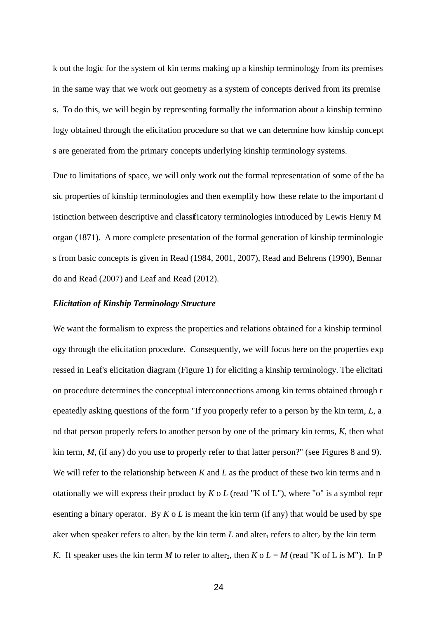k out the logic for the system of kin terms making up a kinship terminology from its premises in the same way that we work out geometry as a system of concepts derived from its premise s. To do this, we will begin by representing formally the information about a kinship termino logy obtained through the elicitation procedure so that we can determine how kinship concept s are generated from the primary concepts underlying kinship terminology systems.

Due to limitations of space, we will only work out the formal representation of some of the ba sic properties of kinship terminologies and then exemplify how these relate to the important d istinction between descriptive and classificatory terminologies introduced by Lewis Henry M organ (1871). A more complete presentation of the formal generation of kinship terminologie s from basic concepts is given in Read (1984, 2001, 2007), Read and Behrens (1990), Bennar do and Read (2007) and Leaf and Read (2012).

#### *Elicitation of Kinship Terminology Structure*

We want the formalism to express the properties and relations obtained for a kinship terminol ogy through the elicitation procedure. Consequently, we will focus here on the properties exp ressed in Leaf's elicitation diagram (Figure 1) for eliciting a kinship terminology. The elicitati on procedure determines the conceptual interconnections among kin terms obtained through r epeatedly asking questions of the form "If you properly refer to a person by the kin term, *L*, a nd that person properly refers to another person by one of the primary kin terms, *K*, then what kin term, *M*, (if any) do you use to properly refer to that latter person?" (see Figures 8 and 9). We will refer to the relationship between *K* and *L* as the product of these two kin terms and n otationally we will express their product by *K* o *L* (read "K of L"), where "o" is a symbol repr esenting a binary operator. By *K* o *L* is meant the kin term (if any) that would be used by spe aker when speaker refers to alter<sub>1</sub> by the kin term *L* and alter<sub>1</sub> refers to alter<sub>2</sub> by the kin term *K*. If speaker uses the kin term *M* to refer to alter<sub>2</sub>, then *K* o  $L = M$  (read "K of L is M"). In P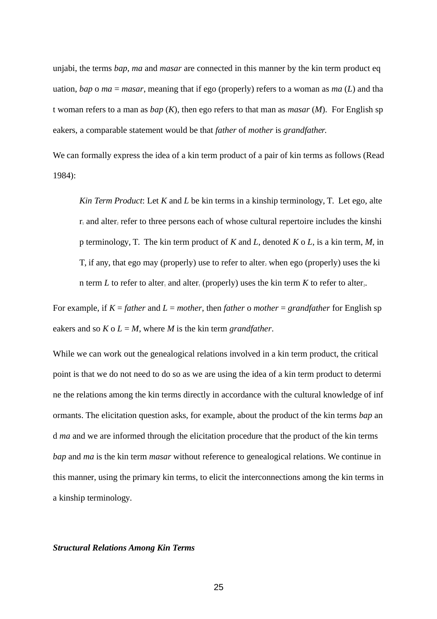unjabi, the terms *bap*, *ma* and *masar* are connected in this manner by the kin term product eq uation, *bap* o *ma* = *masar*, meaning that if ego (properly) refers to a woman as *ma* (*L*) and tha t woman refers to a man as *bap* (*K*), then ego refers to that man as *masar* (*M*). For English sp eakers, a comparable statement would be that *father* of *mother* is *grandfather.*

We can formally express the idea of a kin term product of a pair of kin terms as follows (Read 1984):

*Kin Term Product*: Let *K* and *L* be kin terms in a kinship terminology, T. Let ego, alte  $r_1$  and alter<sub>2</sub> refer to three persons each of whose cultural repertoire includes the kinshi p terminology, T. The kin term product of *K* and *L*, denoted *K* o *L*, is a kin term, *M*, in T, if any, that ego may (properly) use to refer to alter<sub>2</sub> when ego (properly) uses the ki n term *L* to refer to alter<sub>1</sub> and alter<sub>1</sub> (properly) uses the kin term *K* to refer to alter<sub>2</sub>.

For example, if  $K =$  *father* and  $L =$  *mother*, then *father* o *mother* = *grandfather* for English sp eakers and so  $K \circ L = M$ , where *M* is the kin term *grandfather*.

While we can work out the genealogical relations involved in a kin term product, the critical point is that we do not need to do so as we are using the idea of a kin term product to determi ne the relations among the kin terms directly in accordance with the cultural knowledge of inf ormants. The elicitation question asks, for example, about the product of the kin terms *bap* an d *ma* and we are informed through the elicitation procedure that the product of the kin terms *bap* and *ma* is the kin term *masar* without reference to genealogical relations. We continue in this manner, using the primary kin terms, to elicit the interconnections among the kin terms in a kinship terminology.

#### *Structural Relations Among Kin Terms*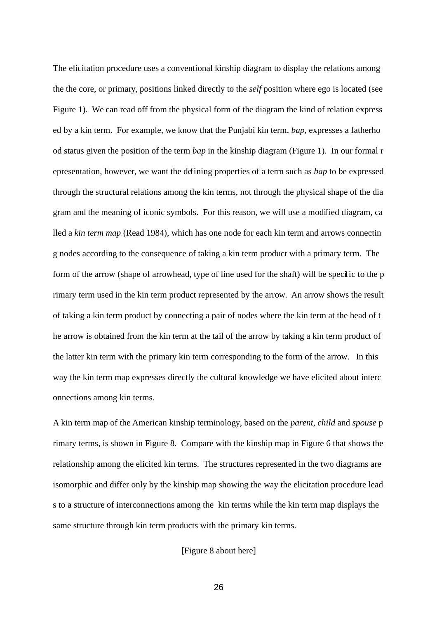The elicitation procedure uses a conventional kinship diagram to display the relations among the the core, or primary, positions linked directly to the *self* position where ego is located (see Figure 1). We can read off from the physical form of the diagram the kind of relation express ed by a kin term. For example, we know that the Punjabi kin term, *bap*, expresses a fatherho od status given the position of the term *bap* in the kinship diagram (Figure 1). In our formal r epresentation, however, we want the defining properties of a term such as *bap* to be expressed through the structural relations among the kin terms, not through the physical shape of the dia gram and the meaning of iconic symbols. For this reason, we will use a modified diagram, ca lled a *kin term map* (Read 1984), which has one node for each kin term and arrows connectin g nodes according to the consequence of taking a kin term product with a primary term. The form of the arrow (shape of arrowhead, type of line used for the shaft) will be specific to the p rimary term used in the kin term product represented by the arrow. An arrow shows the result of taking a kin term product by connecting a pair of nodes where the kin term at the head of t he arrow is obtained from the kin term at the tail of the arrow by taking a kin term product of the latter kin term with the primary kin term corresponding to the form of the arrow. In this way the kin term map expresses directly the cultural knowledge we have elicited about interc onnections among kin terms.

A kin term map of the American kinship terminology, based on the *parent*, *child* and *spouse* p rimary terms, is shown in Figure 8. Compare with the kinship map in Figure 6 that shows the relationship among the elicited kin terms. The structures represented in the two diagrams are isomorphic and differ only by the kinship map showing the way the elicitation procedure lead s to a structure of interconnections among the kin terms while the kin term map displays the same structure through kin term products with the primary kin terms.

[Figure 8 about here]

26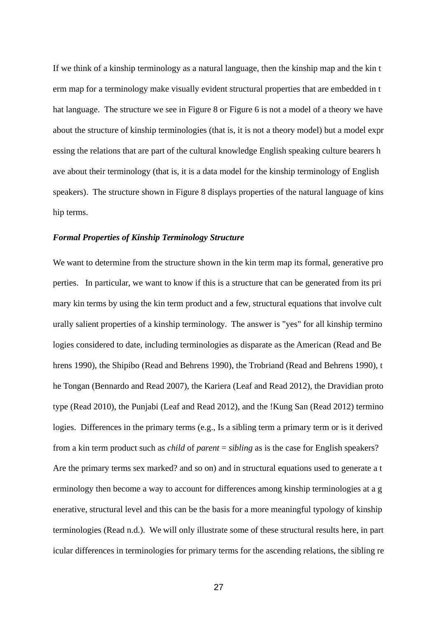If we think of a kinship terminology as a natural language, then the kinship map and the kin t erm map for a terminology make visually evident structural properties that are embedded in t hat language. The structure we see in Figure 8 or Figure 6 is not a model of a theory we have about the structure of kinship terminologies (that is, it is not a theory model) but a model expr essing the relations that are part of the cultural knowledge English speaking culture bearers h ave about their terminology (that is, it is a data model for the kinship terminology of English speakers). The structure shown in Figure 8 displays properties of the natural language of kins hip terms.

#### *Formal Properties of Kinship Terminology Structure*

We want to determine from the structure shown in the kin term map its formal, generative pro perties. In particular, we want to know if this is a structure that can be generated from its pri mary kin terms by using the kin term product and a few, structural equations that involve cult urally salient properties of a kinship terminology. The answer is "yes" for all kinship termino logies considered to date, including terminologies as disparate as the American (Read and Be hrens 1990), the Shipibo (Read and Behrens 1990), the Trobriand (Read and Behrens 1990), t he Tongan (Bennardo and Read 2007), the Kariera (Leaf and Read 2012), the Dravidian proto type (Read 2010), the Punjabi (Leaf and Read 2012), and the !Kung San (Read 2012) termino logies. Differences in the primary terms (e.g., Is a sibling term a primary term or is it derived from a kin term product such as *child* of *parent* = *sibling* as is the case for English speakers? Are the primary terms sex marked? and so on) and in structural equations used to generate a t erminology then become a way to account for differences among kinship terminologies at a g enerative, structural level and this can be the basis for a more meaningful typology of kinship terminologies (Read n.d.). We will only illustrate some of these structural results here, in part icular differences in terminologies for primary terms for the ascending relations, the sibling re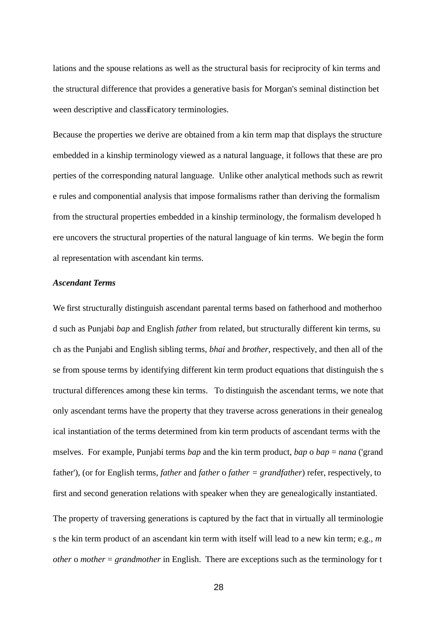lations and the spouse relations as well as the structural basis for reciprocity of kin terms and the structural difference that provides a generative basis for Morgan's seminal distinction bet ween descriptive and classificatory terminologies.

Because the properties we derive are obtained from a kin term map that displays the structure embedded in a kinship terminology viewed as a natural language, it follows that these are pro perties of the corresponding natural language. Unlike other analytical methods such as rewrit e rules and componential analysis that impose formalisms rather than deriving the formalism from the structural properties embedded in a kinship terminology, the formalism developed h ere uncovers the structural properties of the natural language of kin terms. We begin the form al representation with ascendant kin terms.

#### *Ascendant Terms*

We first structurally distinguish ascendant parental terms based on fatherhood and motherhoo d such as Punjabi *bap* and English *father* from related, but structurally different kin terms, su ch as the Punjabi and English sibling terms, *bhai* and *brother*, respectively, and then all of the se from spouse terms by identifying different kin term product equations that distinguish the s tructural differences among these kin terms. To distinguish the ascendant terms, we note that only ascendant terms have the property that they traverse across generations in their genealog ical instantiation of the terms determined from kin term products of ascendant terms with the mselves. For example, Punjabi terms *bap* and the kin term product, *bap* o *bap* = *nana* ('grand father'), (or for English terms, *father* and *father* o *father = grandfather*) refer, respectively, to first and second generation relations with speaker when they are genealogically instantiated.

The property of traversing generations is captured by the fact that in virtually all terminologie s the kin term product of an ascendant kin term with itself will lead to a new kin term; e.g., *m other* o *mother* = *grandmother* in English. There are exceptions such as the terminology for t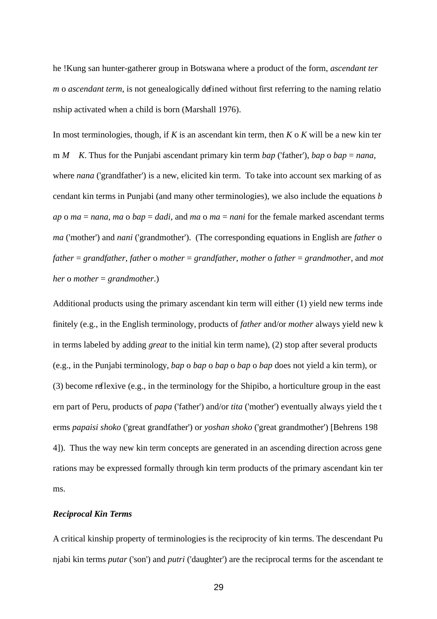he !Kung san hunter-gatherer group in Botswana where a product of the form, *ascendant ter m* o *ascendant term*, is not genealogically defined without first referring to the naming relatio nship activated when a child is born (Marshall 1976).

In most terminologies, though, if *K* is an ascendant kin term, then *K* o *K* will be a new kin ter m *M K*. Thus for the Punjabi ascendant primary kin term *bap* ('father'), *bap* o *bap* = *nana*, where *nana* ('grandfather') is a new, elicited kin term. To take into account sex marking of as cendant kin terms in Punjabi (and many other terminologies), we also include the equations *b ap* o *ma* = *nana*, *ma* o *bap* = *dadi*, and *ma* o *ma* = *nani* for the female marked ascendant terms *ma* ('mother') and *nani* ('grandmother'). (The corresponding equations in English are *father* o *father* = *grandfather*, *father* o *mother* = *grandfather*, *mother* o *father* = *grandmother*, and *mot her* o *mother* = *grandmother*.)

Additional products using the primary ascendant kin term will either (1) yield new terms inde finitely (e.g., in the English terminology, products of *father* and/or *mother* always yield new k in terms labeled by adding *great* to the initial kin term name), (2) stop after several products (e.g., in the Punjabi terminology, *bap* o *bap* o *bap* o *bap* o *bap* does not yield a kin term), or (3) become reflexive (e.g., in the terminology for the Shipibo, a horticulture group in the east ern part of Peru, products of *papa* ('father') and/or *tita* ('mother') eventually always yield the t erms *papaisi shoko* ('great grandfather') or *yoshan shoko* ('great grandmother') [Behrens 198 4]). Thus the way new kin term concepts are generated in an ascending direction across gene rations may be expressed formally through kin term products of the primary ascendant kin ter ms.

#### *Reciprocal Kin Terms*

A critical kinship property of terminologies is the reciprocity of kin terms. The descendant Pu njabi kin terms *putar* ('son') and *putri* ('daughter') are the reciprocal terms for the ascendant te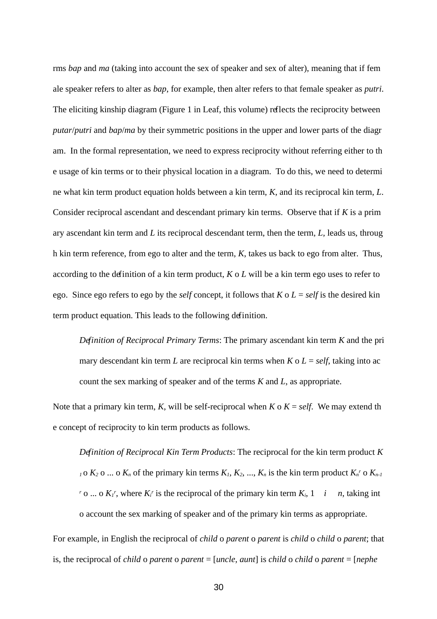rms *bap* and *ma* (taking into account the sex of speaker and sex of alter), meaning that if fem ale speaker refers to alter as *bap*, for example, then alter refers to that female speaker as *putri*. The eliciting kinship diagram (Figure 1 in Leaf, this volume) reflects the reciprocity between *putar*/*putri* and *bap*/*ma* by their symmetric positions in the upper and lower parts of the diagr am. In the formal representation, we need to express reciprocity without referring either to th e usage of kin terms or to their physical location in a diagram. To do this, we need to determi ne what kin term product equation holds between a kin term, *K*, and its reciprocal kin term, *L*. Consider reciprocal ascendant and descendant primary kin terms. Observe that if *K* is a prim ary ascendant kin term and *L* its reciprocal descendant term, then the term, *L,* leads us, throug h kin term reference, from ego to alter and the term, *K*, takes us back to ego from alter. Thus, according to the definition of a kin term product, *K* o *L* will be a kin term ego uses to refer to ego. Since ego refers to ego by the *self* concept, it follows that *K* o *L* = *self* is the desired kin term product equation. This leads to the following definition.

*Definition of Reciprocal Primary Terms*: The primary ascendant kin term *K* and the pri mary descendant kin term *L* are reciprocal kin terms when *K* o  $L = \text{self}$ , taking into ac count the sex marking of speaker and of the terms *K* and *L*, as appropriate.

Note that a primary kin term, *K*, will be self-reciprocal when *K* o  $K = self$ . We may extend th e concept of reciprocity to kin term products as follows.

*Definition of Reciprocal Kin Term Products*: The reciprocal for the kin term product *K*  $K_1 \circ K_2 \circ \ldots \circ K_n$  of the primary kin terms  $K_1, K_2, \ldots, K_n$  is the kin term product  $K_n^r \circ K_{n-1}$  $r \circ \ldots \circ K_I^r$ , where  $K_i^r$  is the reciprocal of the primary kin term  $K_i$ , 1 *i n*, taking int o account the sex marking of speaker and of the primary kin terms as appropriate.

For example, in English the reciprocal of *child* o *parent* o *parent* is *child* o *child* o *parent*; that is, the reciprocal of *child* o *parent* o *parent* = [*uncle*, *aunt*] is *child* o *child* o *parent* = [*nephe*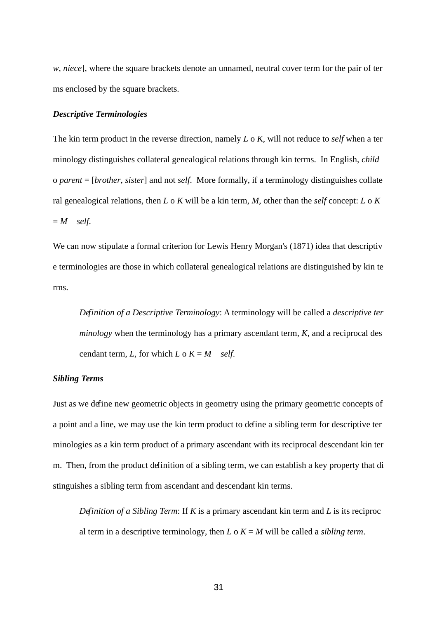*w*, *niece*], where the square brackets denote an unnamed, neutral cover term for the pair of ter ms enclosed by the square brackets.

#### *Descriptive Terminologies*

The kin term product in the reverse direction, namely *L* o *K*, will not reduce to *self* when a ter minology distinguishes collateral genealogical relations through kin terms. In English, *child*  o *parent* = [*brother*, *sister*] and not *self*. More formally, if a terminology distinguishes collate ral genealogical relations, then *L* o *K* will be a kin term, *M*, other than the *self* concept: *L* o *K*   $=M$  *self.* 

We can now stipulate a formal criterion for Lewis Henry Morgan's (1871) idea that descriptiv e terminologies are those in which collateral genealogical relations are distinguished by kin te rms.

*Definition of a Descriptive Terminology*: A terminology will be called a *descriptive ter minology* when the terminology has a primary ascendant term, *K*, and a reciprocal des cendant term, *L*, for which *L* o  $K = M$  *self.* 

#### *Sibling Terms*

Just as we define new geometric objects in geometry using the primary geometric concepts of a point and a line, we may use the kin term product to define a sibling term for descriptive ter minologies as a kin term product of a primary ascendant with its reciprocal descendant kin ter m. Then, from the product definition of a sibling term, we can establish a key property that di stinguishes a sibling term from ascendant and descendant kin terms.

*Definition of a Sibling Term*: If *K* is a primary ascendant kin term and *L* is its reciproc al term in a descriptive terminology, then *L* o  $K = M$  will be called a *sibling term*.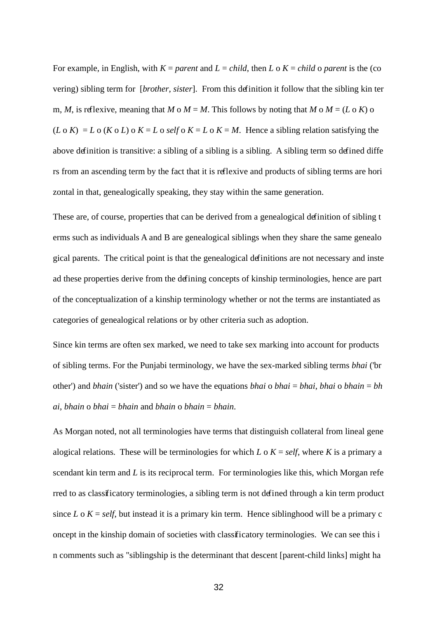For example, in English, with  $K = parent$  and  $L = child$ , then  $L \circ K = child$  o *parent* is the (co vering) sibling term for [*brother*, *sister*]. From this definition it follow that the sibling kin ter m, *M*, is reflexive, meaning that *M* o *M* = *M*. This follows by noting that *M* o *M* = (*L* o *K*) o  $(L \circ K) = L \circ (K \circ L) \circ K = L \circ self \circ K = L \circ K = M$ . Hence a sibling relation satisfying the above definition is transitive: a sibling of a sibling is a sibling. A sibling term so defined diffe rs from an ascending term by the fact that it is reflexive and products of sibling terms are hori zontal in that, genealogically speaking, they stay within the same generation.

These are, of course, properties that can be derived from a genealogical definition of sibling t erms such as individuals A and B are genealogical siblings when they share the same genealo gical parents. The critical point is that the genealogical definitions are not necessary and inste ad these properties derive from the defining concepts of kinship terminologies, hence are part of the conceptualization of a kinship terminology whether or not the terms are instantiated as categories of genealogical relations or by other criteria such as adoption.

Since kin terms are often sex marked, we need to take sex marking into account for products of sibling terms. For the Punjabi terminology, we have the sex-marked sibling terms *bhai* ('br other') and *bhain* ('sister') and so we have the equations *bhai* o *bhai* = *bhai*, *bhai* o *bhain* = *bh ai*, *bhain* o *bhai* = *bhain* and *bhain* o *bhain* = *bhain*.

As Morgan noted, not all terminologies have terms that distinguish collateral from lineal gene alogical relations. These will be terminologies for which *L* o  $K = self$ , where *K* is a primary a scendant kin term and *L* is its reciprocal term. For terminologies like this, which Morgan refe rred to as classificatory terminologies, a sibling term is not defined through a kin term product since *L* o  $K = self$ , but instead it is a primary kin term. Hence siblinghood will be a primary c oncept in the kinship domain of societies with classificatory terminologies. We can see this i n comments such as "siblingship is the determinant that descent [parent-child links] might ha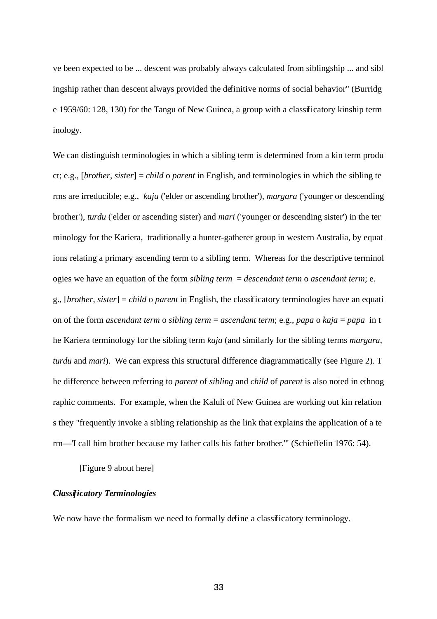ve been expected to be ... descent was probably always calculated from siblingship ... and sibl ingship rather than descent always provided the definitive norms of social behavior" (Burridg e 1959/60: 128, 130) for the Tangu of New Guinea, a group with a classificatory kinship term inology.

We can distinguish terminologies in which a sibling term is determined from a kin term produ ct; e.g., [*brother*, *sister*] = *child* o *parent* in English, and terminologies in which the sibling te rms are irreducible; e.g., *kaja* ('elder or ascending brother'), *margara* ('younger or descending brother'), *turdu* ('elder or ascending sister) and *mari* ('younger or descending sister') in the ter minology for the Kariera, traditionally a hunter-gatherer group in western Australia, by equat ions relating a primary ascending term to a sibling term. Whereas for the descriptive terminol ogies we have an equation of the form *sibling term* = *descendant term* o *ascendant term*; e.

g., [*brother*, *sister*] = *child* o *parent* in English, the classificatory terminologies have an equati on of the form *ascendant term* o *sibling term* = *ascendant term*; e.g., *papa* o *kaja* = *papa* in t he Kariera terminology for the sibling term *kaja* (and similarly for the sibling terms *margara*, *turdu* and *mari*). We can express this structural difference diagrammatically (see Figure 2). T he difference between referring to *parent* of *sibling* and *child* of *parent* is also noted in ethnog raphic comments. For example, when the Kaluli of New Guinea are working out kin relation s they "frequently invoke a sibling relationship as the link that explains the application of a te rm—'I call him brother because my father calls his father brother.'" (Schieffelin 1976: 54).

[Figure 9 about here]

#### *Classificatory Terminologies*

We now have the formalism we need to formally define a classificatory terminology.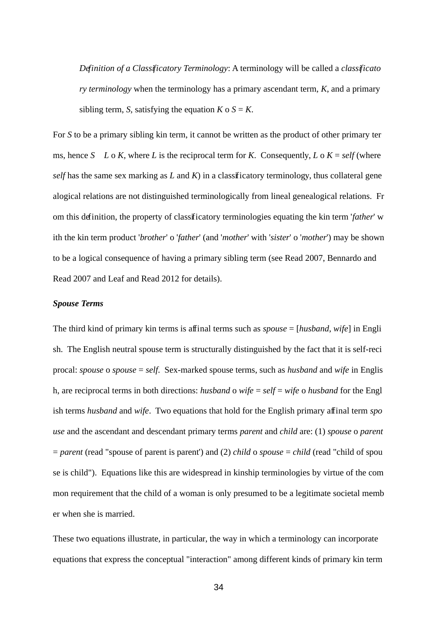*Definition of a Classificatory Terminology*: A terminology will be called a *classificato ry terminology* when the terminology has a primary ascendant term, *K*, and a primary sibling term, *S*, satisfying the equation  $K \circ S = K$ .

For *S* to be a primary sibling kin term, it cannot be written as the product of other primary ter ms, hence *S*  $L \circ K$ , where *L* is the reciprocal term for *K*. Consequently,  $L \circ K = \text{self}$  (where *self* has the same sex marking as *L* and *K*) in a classificatory terminology, thus collateral gene alogical relations are not distinguished terminologically from lineal genealogical relations. Fr om this definition, the property of classificatory terminologies equating the kin term '*father*' w ith the kin term product '*brother*' o '*father*' (and '*mother*' with '*sister*' o '*mother*') may be shown to be a logical consequence of having a primary sibling term (see Read 2007, Bennardo and Read 2007 and Leaf and Read 2012 for details).

#### *Spouse Terms*

The third kind of primary kin terms is affinal terms such as *spouse* = [*husband*, *wife*] in Engli sh. The English neutral spouse term is structurally distinguished by the fact that it is self-reci procal: *spouse* o *spouse* = *self*. Sex-marked spouse terms, such as *husband* and *wife* in Englis h, are reciprocal terms in both directions: *husband* o *wife* = *self* = *wife* o *husband* for the Engl ish terms *husband* and *wife*. Two equations that hold for the English primary affinal term *spo use* and the ascendant and descendant primary terms *parent* and *child* are: (1) *spouse* o *parent*  = *parent* (read "spouse of parent is parent') and (2) *child* o *spouse* = *child* (read "child of spou se is child"). Equations like this are widespread in kinship terminologies by virtue of the com mon requirement that the child of a woman is only presumed to be a legitimate societal memb er when she is married.

These two equations illustrate, in particular, the way in which a terminology can incorporate equations that express the conceptual "interaction" among different kinds of primary kin term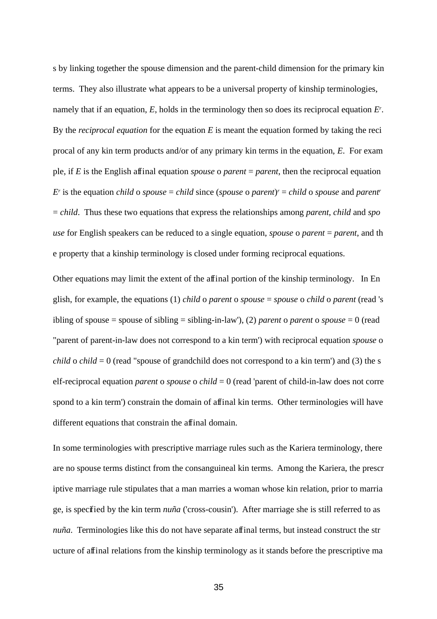s by linking together the spouse dimension and the parent-child dimension for the primary kin terms. They also illustrate what appears to be a universal property of kinship terminologies, namely that if an equation, *E*, holds in the terminology then so does its reciprocal equation *E<sup>r</sup>* . By the *reciprocal equation* for the equation *E* is meant the equation formed by taking the reci procal of any kin term products and/or of any primary kin terms in the equation, *E*. For exam ple, if *E* is the English affinal equation *spouse* o *parent* = *parent*, then the reciprocal equation *E*<sup>*r*</sup> is the equation *child*  $\circ$  *spouse* = *child* since (*spouse*  $\circ$  *parent*)<sup>*r*</sup> = *child*  $\circ$  *spouse* and *parent<sup><i>r*</sup> = *child*. Thus these two equations that express the relationships among *parent*, *child* and *spo use* for English speakers can be reduced to a single equation, *spouse* o *parent* = *parent*, and th e property that a kinship terminology is closed under forming reciprocal equations.

Other equations may limit the extent of the affinal portion of the kinship terminology. In En glish, for example, the equations (1) *child* o *parent* o *spouse* = *spouse* o *child* o *parent* (read 's ibling of spouse = spouse of sibling = sibling-in-law'), (2) *parent* o *parent* o *spouse* = 0 (read "parent of parent-in-law does not correspond to a kin term') with reciprocal equation *spouse* o *child* o *child* = 0 (read "spouse of grandchild does not correspond to a kin term') and (3) the s elf-reciprocal equation *parent* o *spouse* o *child* = 0 (read 'parent of child-in-law does not corre spond to a kin term') constrain the domain of affinal kin terms. Other terminologies will have different equations that constrain the affinal domain.

In some terminologies with prescriptive marriage rules such as the Kariera terminology, there are no spouse terms distinct from the consanguineal kin terms. Among the Kariera, the prescr iptive marriage rule stipulates that a man marries a woman whose kin relation, prior to marria ge, is specified by the kin term *nuña* ('cross-cousin'). After marriage she is still referred to as *nuña*. Terminologies like this do not have separate affinal terms, but instead construct the str ucture of affinal relations from the kinship terminology as it stands before the prescriptive ma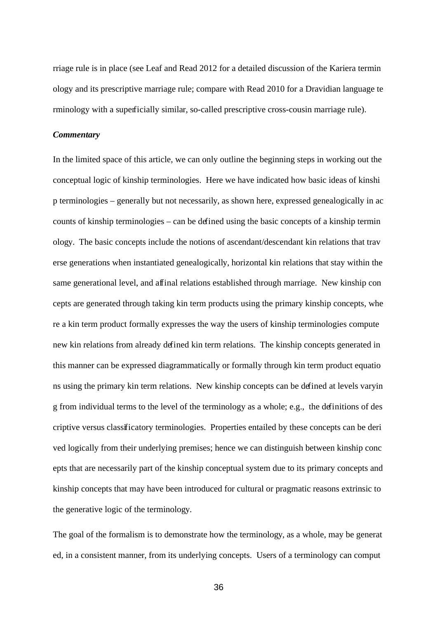rriage rule is in place (see Leaf and Read 2012 for a detailed discussion of the Kariera termin ology and its prescriptive marriage rule; compare with Read 2010 for a Dravidian language te rminology with a superficially similar, so-called prescriptive cross-cousin marriage rule).

#### *Commentary*

In the limited space of this article, we can only outline the beginning steps in working out the conceptual logic of kinship terminologies. Here we have indicated how basic ideas of kinshi p terminologies – generally but not necessarily, as shown here, expressed genealogically in ac counts of kinship terminologies – can be defined using the basic concepts of a kinship termin ology. The basic concepts include the notions of ascendant/descendant kin relations that trav erse generations when instantiated genealogically, horizontal kin relations that stay within the same generational level, and affinal relations established through marriage. New kinship con cepts are generated through taking kin term products using the primary kinship concepts, whe re a kin term product formally expresses the way the users of kinship terminologies compute new kin relations from already defined kin term relations. The kinship concepts generated in this manner can be expressed diagrammatically or formally through kin term product equatio ns using the primary kin term relations. New kinship concepts can be defined at levels varyin g from individual terms to the level of the terminology as a whole; e.g., the definitions of des criptive versus classificatory terminologies. Properties entailed by these concepts can be deri ved logically from their underlying premises; hence we can distinguish between kinship conc epts that are necessarily part of the kinship conceptual system due to its primary concepts and kinship concepts that may have been introduced for cultural or pragmatic reasons extrinsic to the generative logic of the terminology.

The goal of the formalism is to demonstrate how the terminology, as a whole, may be generat ed, in a consistent manner, from its underlying concepts. Users of a terminology can comput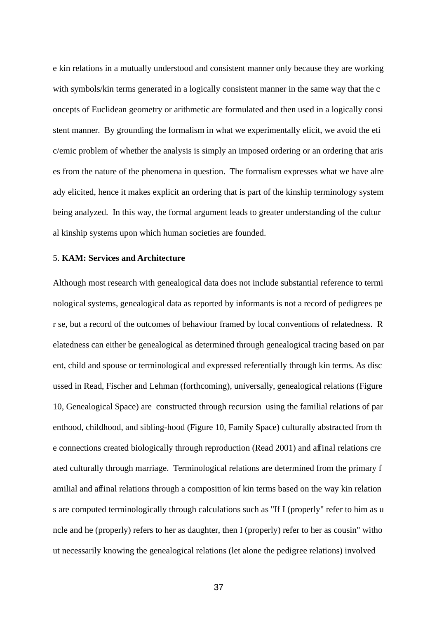e kin relations in a mutually understood and consistent manner only because they are working with symbols/kin terms generated in a logically consistent manner in the same way that the c oncepts of Euclidean geometry or arithmetic are formulated and then used in a logically consi stent manner. By grounding the formalism in what we experimentally elicit, we avoid the eti c/emic problem of whether the analysis is simply an imposed ordering or an ordering that aris es from the nature of the phenomena in question. The formalism expresses what we have alre ady elicited, hence it makes explicit an ordering that is part of the kinship terminology system being analyzed. In this way, the formal argument leads to greater understanding of the cultur al kinship systems upon which human societies are founded.

#### 5. **KAM: Services and Architecture**

Although most research with genealogical data does not include substantial reference to termi nological systems, genealogical data as reported by informants is not a record of pedigrees pe r se, but a record of the outcomes of behaviour framed by local conventions of relatedness. R elatedness can either be genealogical as determined through genealogical tracing based on par ent, child and spouse or terminological and expressed referentially through kin terms. As disc ussed in Read, Fischer and Lehman (forthcoming), universally, genealogical relations (Figure 10, Genealogical Space) are constructed through recursion using the familial relations of par enthood, childhood, and sibling-hood (Figure 10, Family Space) culturally abstracted from th e connections created biologically through reproduction (Read 2001) and affinal relations cre ated culturally through marriage. Terminological relations are determined from the primary f amilial and affinal relations through a composition of kin terms based on the way kin relation s are computed terminologically through calculations such as "If I (properly" refer to him as u ncle and he (properly) refers to her as daughter, then I (properly) refer to her as cousin" witho ut necessarily knowing the genealogical relations (let alone the pedigree relations) involved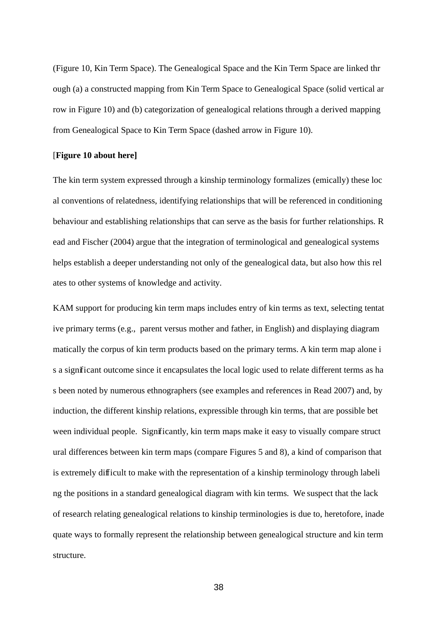(Figure 10, Kin Term Space). The Genealogical Space and the Kin Term Space are linked thr ough (a) a constructed mapping from Kin Term Space to Genealogical Space (solid vertical ar row in Figure 10) and (b) categorization of genealogical relations through a derived mapping from Genealogical Space to Kin Term Space (dashed arrow in Figure 10).

#### [**Figure 10 about here]**

The kin term system expressed through a kinship terminology formalizes (emically) these loc al conventions of relatedness, identifying relationships that will be referenced in conditioning behaviour and establishing relationships that can serve as the basis for further relationships. R ead and Fischer (2004) argue that the integration of terminological and genealogical systems helps establish a deeper understanding not only of the genealogical data, but also how this rel ates to other systems of knowledge and activity.

KAM support for producing kin term maps includes entry of kin terms as text, selecting tentat ive primary terms (e.g., parent versus mother and father, in English) and displaying diagram matically the corpus of kin term products based on the primary terms. A kin term map alone i s a significant outcome since it encapsulates the local logic used to relate different terms as ha s been noted by numerous ethnographers (see examples and references in Read 2007) and, by induction, the different kinship relations, expressible through kin terms, that are possible bet ween individual people. Significantly, kin term maps make it easy to visually compare struct ural differences between kin term maps (compare Figures 5 and 8), a kind of comparison that is extremely difficult to make with the representation of a kinship terminology through labeli ng the positions in a standard genealogical diagram with kin terms. We suspect that the lack of research relating genealogical relations to kinship terminologies is due to, heretofore, inade quate ways to formally represent the relationship between genealogical structure and kin term structure.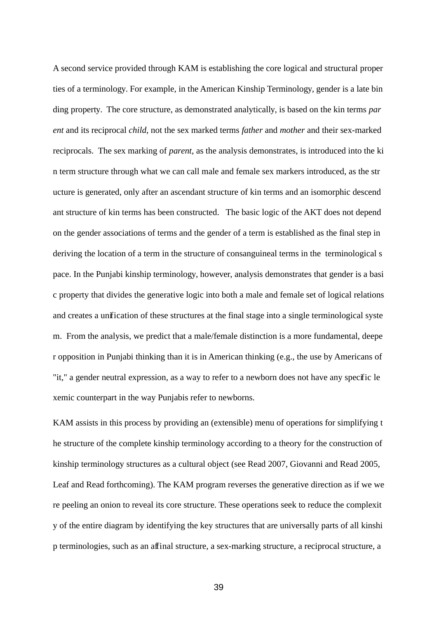A second service provided through KAM is establishing the core logical and structural proper ties of a terminology. For example, in the American Kinship Terminology, gender is a late bin ding property. The core structure, as demonstrated analytically, is based on the kin terms *par ent* and its reciprocal *child*, not the sex marked terms *father* and *mother* and their sex-marked reciprocals. The sex marking of *parent*, as the analysis demonstrates, is introduced into the ki n term structure through what we can call male and female sex markers introduced, as the str ucture is generated, only after an ascendant structure of kin terms and an isomorphic descend ant structure of kin terms has been constructed. The basic logic of the AKT does not depend on the gender associations of terms and the gender of a term is established as the final step in deriving the location of a term in the structure of consanguineal terms in the terminological s pace. In the Punjabi kinship terminology, however, analysis demonstrates that gender is a basi c property that divides the generative logic into both a male and female set of logical relations and creates a unification of these structures at the final stage into a single terminological syste m. From the analysis, we predict that a male/female distinction is a more fundamental, deepe r opposition in Punjabi thinking than it is in American thinking (e.g., the use by Americans of "it," a gender neutral expression, as a way to refer to a newborn does not have any specific le xemic counterpart in the way Punjabis refer to newborns.

KAM assists in this process by providing an (extensible) menu of operations for simplifying t he structure of the complete kinship terminology according to a theory for the construction of kinship terminology structures as a cultural object (see Read 2007, Giovanni and Read 2005, Leaf and Read forthcoming). The KAM program reverses the generative direction as if we we re peeling an onion to reveal its core structure. These operations seek to reduce the complexit y of the entire diagram by identifying the key structures that are universally parts of all kinshi p terminologies, such as an affinal structure, a sex-marking structure, a reciprocal structure, a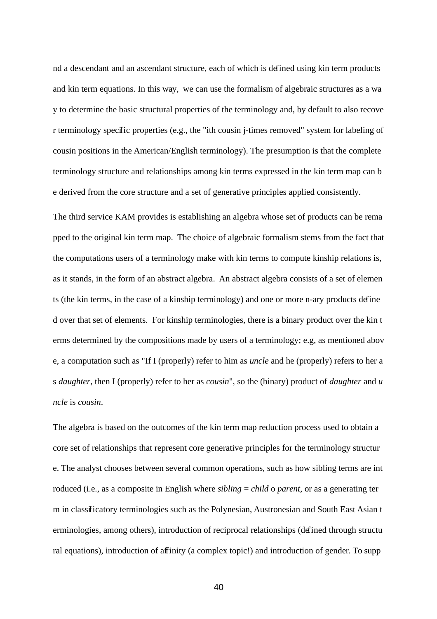nd a descendant and an ascendant structure, each of which is defined using kin term products and kin term equations. In this way, we can use the formalism of algebraic structures as a wa y to determine the basic structural properties of the terminology and, by default to also recove r terminology specific properties (e.g., the "ith cousin j-times removed" system for labeling of cousin positions in the American/English terminology). The presumption is that the complete terminology structure and relationships among kin terms expressed in the kin term map can b e derived from the core structure and a set of generative principles applied consistently.

The third service KAM provides is establishing an algebra whose set of products can be rema pped to the original kin term map. The choice of algebraic formalism stems from the fact that the computations users of a terminology make with kin terms to compute kinship relations is, as it stands, in the form of an abstract algebra. An abstract algebra consists of a set of elemen ts (the kin terms, in the case of a kinship terminology) and one or more n-ary products define d over that set of elements. For kinship terminologies, there is a binary product over the kin t erms determined by the compositions made by users of a terminology; e.g, as mentioned abov e, a computation such as "If I (properly) refer to him as *uncle* and he (properly) refers to her a s *daughter*, then I (properly) refer to her as *cousin*", so the (binary) product of *daughter* and *u ncle* is *cousin*.

The algebra is based on the outcomes of the kin term map reduction process used to obtain a core set of relationships that represent core generative principles for the terminology structur e. The analyst chooses between several common operations, such as how sibling terms are int roduced (i.e., as a composite in English where *sibling* = *child* o *parent*, or as a generating ter m in classificatory terminologies such as the Polynesian, Austronesian and South East Asian t erminologies, among others), introduction of reciprocal relationships (defined through structu ral equations), introduction of affinity (a complex topic!) and introduction of gender. To supp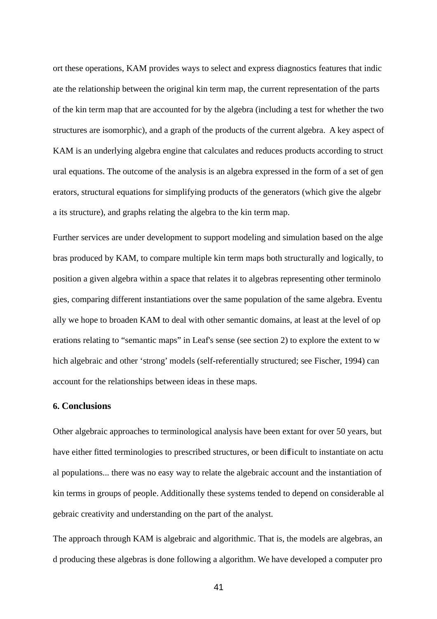ort these operations, KAM provides ways to select and express diagnostics features that indic ate the relationship between the original kin term map, the current representation of the parts of the kin term map that are accounted for by the algebra (including a test for whether the two structures are isomorphic), and a graph of the products of the current algebra. A key aspect of KAM is an underlying algebra engine that calculates and reduces products according to struct ural equations. The outcome of the analysis is an algebra expressed in the form of a set of gen erators, structural equations for simplifying products of the generators (which give the algebr a its structure), and graphs relating the algebra to the kin term map.

Further services are under development to support modeling and simulation based on the alge bras produced by KAM, to compare multiple kin term maps both structurally and logically, to position a given algebra within a space that relates it to algebras representing other terminolo gies, comparing different instantiations over the same population of the same algebra. Eventu ally we hope to broaden KAM to deal with other semantic domains, at least at the level of op erations relating to "semantic maps" in Leaf's sense (see section 2) to explore the extent to w hich algebraic and other 'strong' models (self-referentially structured; see Fischer, 1994) can account for the relationships between ideas in these maps.

#### **6. Conclusions**

Other algebraic approaches to terminological analysis have been extant for over 50 years, but have either fitted terminologies to prescribed structures, or been difficult to instantiate on actu al populations... there was no easy way to relate the algebraic account and the instantiation of kin terms in groups of people. Additionally these systems tended to depend on considerable al gebraic creativity and understanding on the part of the analyst.

The approach through KAM is algebraic and algorithmic. That is, the models are algebras, an d producing these algebras is done following a algorithm. We have developed a computer pro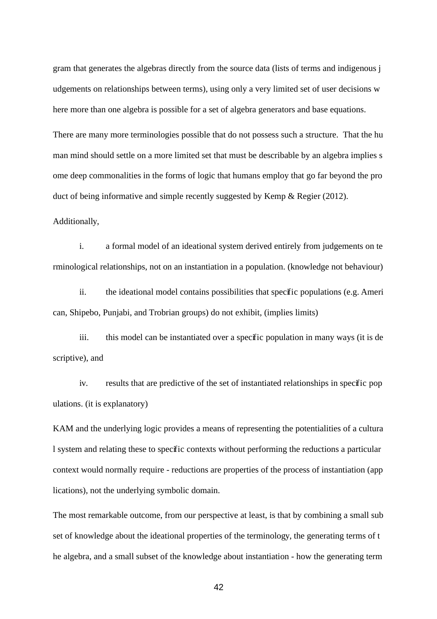gram that generates the algebras directly from the source data (lists of terms and indigenous j udgements on relationships between terms), using only a very limited set of user decisions w here more than one algebra is possible for a set of algebra generators and base equations.

There are many more terminologies possible that do not possess such a structure. That the hu man mind should settle on a more limited set that must be describable by an algebra implies s ome deep commonalities in the forms of logic that humans employ that go far beyond the pro duct of being informative and simple recently suggested by Kemp & Regier (2012).

#### Additionally,

i. a formal model of an ideational system derived entirely from judgements on te rminological relationships, not on an instantiation in a population. (knowledge not behaviour)

ii. the ideational model contains possibilities that specific populations (e.g. Ameri can, Shipebo, Punjabi, and Trobrian groups) do not exhibit, (implies limits)

iii. this model can be instantiated over a specific population in many ways (it is de scriptive), and

iv. results that are predictive of the set of instantiated relationships in specific pop ulations. (it is explanatory)

KAM and the underlying logic provides a means of representing the potentialities of a cultura l system and relating these to specific contexts without performing the reductions a particular context would normally require - reductions are properties of the process of instantiation (app lications), not the underlying symbolic domain.

The most remarkable outcome, from our perspective at least, is that by combining a small sub set of knowledge about the ideational properties of the terminology, the generating terms of t he algebra, and a small subset of the knowledge about instantiation - how the generating term

42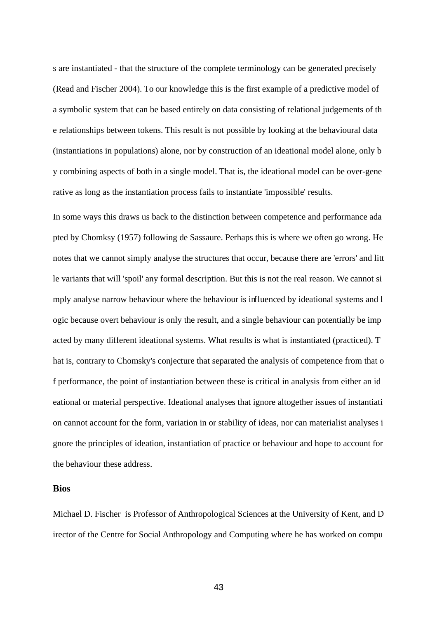s are instantiated - that the structure of the complete terminology can be generated precisely (Read and Fischer 2004). To our knowledge this is the first example of a predictive model of a symbolic system that can be based entirely on data consisting of relational judgements of th e relationships between tokens. This result is not possible by looking at the behavioural data (instantiations in populations) alone, nor by construction of an ideational model alone, only b y combining aspects of both in a single model. That is, the ideational model can be over-gene rative as long as the instantiation process fails to instantiate 'impossible' results.

In some ways this draws us back to the distinction between competence and performance ada pted by Chomksy (1957) following de Sassaure. Perhaps this is where we often go wrong. He notes that we cannot simply analyse the structures that occur, because there are 'errors' and litt le variants that will 'spoil' any formal description. But this is not the real reason. We cannot si mply analyse narrow behaviour where the behaviour is influenced by ideational systems and l ogic because overt behaviour is only the result, and a single behaviour can potentially be imp acted by many different ideational systems. What results is what is instantiated (practiced). T hat is, contrary to Chomsky's conjecture that separated the analysis of competence from that o f performance, the point of instantiation between these is critical in analysis from either an id eational or material perspective. Ideational analyses that ignore altogether issues of instantiati on cannot account for the form, variation in or stability of ideas, nor can materialist analyses i gnore the principles of ideation, instantiation of practice or behaviour and hope to account for the behaviour these address.

#### **Bios**

Michael D. Fischer is Professor of Anthropological Sciences at the University of Kent, and D irector of the Centre for Social Anthropology and Computing where he has worked on compu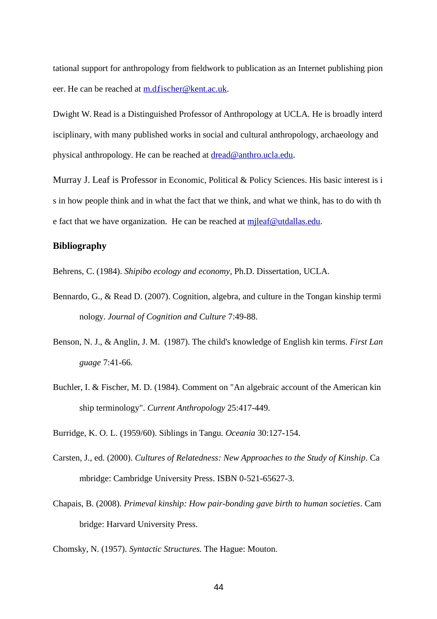tational support for anthropology from fieldwork to publication as an Internet publishing pion eer. He can be reached at m.dfischer@kent.ac.uk.

Dwight W. Read is a Distinguished Professor of Anthropology at UCLA. He is broadly interd isciplinary, with many published works in social and cultural anthropology, archaeology and physical anthropology. He can be reached at [dread@anthro.ucla.edu](mailto:dread@anthro.ucla.edu).

Murray J. Leaf is Professor in Economic, Political & Policy Sciences. His basic interest is i s in how people think and in what the fact that we think, and what we think, has to do with th e fact that we have organization. He can be reached at [mjleaf@utdallas.edu.](mailto:mjleaf@utdallas.edu)

#### **Bibliography**

Behrens, C. (1984). *Shipibo ecology and economy*, Ph.D. Dissertation, UCLA.

- Bennardo, G., & Read D. (2007). Cognition, algebra, and culture in the Tongan kinship termi nology. *Journal of Cognition and Culture* 7:49-88.
- Benson, N. J., & Anglin, J. M. (1987). The child's knowledge of English kin terms. *First Lan guage* 7:41-66.
- Buchler, I. & Fischer, M. D. (1984). Comment on "An algebraic account of the American kin ship terminology". *Current Anthropology* 25:417-449.
- Burridge, K. O. L. (1959/60). Siblings in Tangu. *Oceania* 30:127-154.
- Carsten, J., ed. (2000). *Cultures of Relatedness: New Approaches to the Study of Kinship*. Ca mbridge: Cambridge University Press. ISBN 0-521-65627-3.
- Chapais, B. (2008). *Primeval kinship: How pair-bonding gave birth to human societies*. Cam bridge: Harvard University Press.

Chomsky, N. (1957). *Syntactic Structures.* The Hague: Mouton.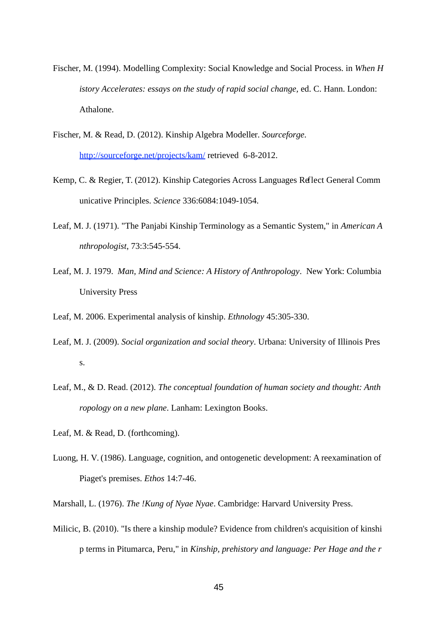- Fischer, M. (1994). Modelling Complexity: Social Knowledge and Social Process. in *When H istory Accelerates: essays on the study of rapid social change,* ed. C. Hann. London: Athalone.
- Fischer, M. & Read, D. (2012). Kinship Algebra Modeller. *Sourceforge*. <http://sourceforge.net/projects/kam/>retrieved 6-8-2012.
- Kemp, C. & Regier, T. (2012). Kinship Categories Across Languages Reflect General Comm unicative Principles. *Science* 336:6084:1049-1054.
- Leaf, M. J. (1971). "The Panjabi Kinship Terminology as a Semantic System," in *American A nthropologist*, 73:3:545-554.
- Leaf, M. J. 1979. *Man, Mind and Science: A History of Anthropology*. New York: Columbia University Press

Leaf, M. 2006. Experimental analysis of kinship. *Ethnology* 45:305-330.

- Leaf, M. J. (2009). *Social organization and social theory*. Urbana: University of Illinois Pres s.
- Leaf, M., & D. Read. (2012). *The conceptual foundation of human society and thought: Anth ropology on a new plane*. Lanham: Lexington Books.

Leaf, M. & Read, D. (forthcoming).

Luong, H. V. (1986). Language, cognition, and ontogenetic development: A reexamination of Piaget's premises. *Ethos* 14:7-46.

Marshall, L. (1976). *The !Kung of Nyae Nyae*. Cambridge: Harvard University Press.

Milicic, B. (2010). "Is there a kinship module? Evidence from children's acquisition of kinshi p terms in Pitumarca, Peru," in *Kinship, prehistory and language: Per Hage and the r*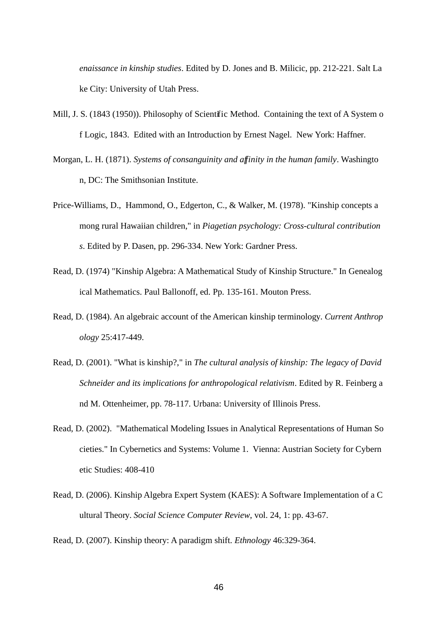*enaissance in kinship studies*. Edited by D. Jones and B. Milicic, pp. 212-221. Salt La ke City: University of Utah Press.

- Mill, J. S. (1843 (1950)). Philosophy of Scientific Method. Containing the text of A System o f Logic, 1843. Edited with an Introduction by Ernest Nagel. New York: Haffner.
- Morgan, L. H. (1871). *Systems of consanguinity and affinity in the human family*. Washingto n, DC: The Smithsonian Institute.
- Price-Williams, D., Hammond, O., Edgerton, C., & Walker, M. (1978). "Kinship concepts a mong rural Hawaiian children," in *Piagetian psychology: Cross-cultural contribution s*. Edited by P. Dasen, pp. 296-334. New York: Gardner Press.
- Read, D. (1974) "Kinship Algebra: A Mathematical Study of Kinship Structure." In Genealog ical Mathematics. Paul Ballonoff, ed. Pp. 135-161. Mouton Press.
- Read, D. (1984). An algebraic account of the American kinship terminology. *Current Anthrop ology* 25:417-449.
- Read, D. (2001). "What is kinship?," in *The cultural analysis of kinship: The legacy of David Schneider and its implications for anthropological relativism*. Edited by R. Feinberg a nd M. Ottenheimer, pp. 78-117. Urbana: University of Illinois Press.
- Read, D. (2002). "Mathematical Modeling Issues in Analytical Representations of Human So cieties." In Cybernetics and Systems: Volume 1. Vienna: Austrian Society for Cybern etic Studies: 408-410
- Read, D. (2006). Kinship Algebra Expert System (KAES): A Software Implementation of a C ultural Theory. *Social Science Computer Review*, vol. 24, 1: pp. 43-67.
- Read, D. (2007). Kinship theory: A paradigm shift. *Ethnology* 46:329-364.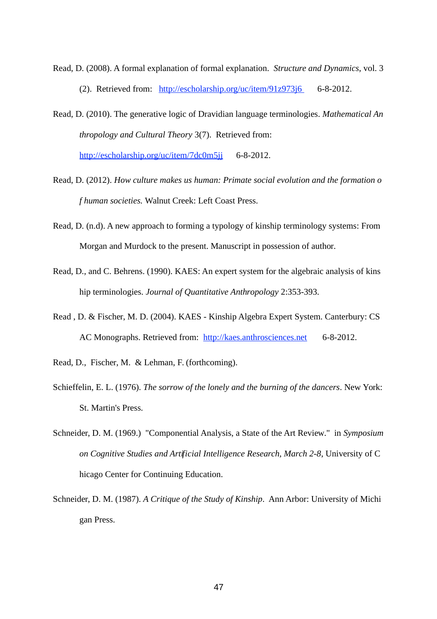- Read, D. (2008). A formal explanation of formal explanation. *Structure and Dynamics*, vol. 3 (2). Retrieved from:  $\frac{http://escholarship.org/uc/item/91z973j6}{6-8-2012}$  $\frac{http://escholarship.org/uc/item/91z973j6}{6-8-2012}$  $\frac{http://escholarship.org/uc/item/91z973j6}{6-8-2012}$
- Read, D. (2010). The generative logic of Dravidian language terminologies. *Mathematical An thropology and Cultural Theory* 3(7). Retrieved from: <http://escholarship.org/uc/item/7dc0m5jj>6-8-2012.
- Read, D. (2012). *How culture makes us human: Primate social evolution and the formation o f human societies.* Walnut Creek: Left Coast Press.
- Read, D. (n.d). A new approach to forming a typology of kinship terminology systems: From Morgan and Murdock to the present. Manuscript in possession of author.
- Read, D., and C. Behrens. (1990). KAES: An expert system for the algebraic analysis of kins hip terminologies. *Journal of Quantitative Anthropology* 2:353-393.
- Read , D. & Fischer, M. D. (2004). KAES Kinship Algebra Expert System. Canterbury: CS AC Monographs. Retrieved from: [http://kaes.anthrosciences.net](http://kaes.anthrosciences.net/) 6-8-2012.
- Read, D., Fischer, M. & Lehman, F. (forthcoming).
- Schieffelin, E. L. (1976). *The sorrow of the lonely and the burning of the dancers*. New York: St. Martin's Press.
- Schneider, D. M. (1969.) "Componential Analysis, a State of the Art Review." in *Symposium on Cognitive Studies and Artificial Intelligence Research, March 2-8*, University of C hicago Center for Continuing Education.
- Schneider, D. M. (1987). *A Critique of the Study of Kinship*. Ann Arbor: University of Michi gan Press.